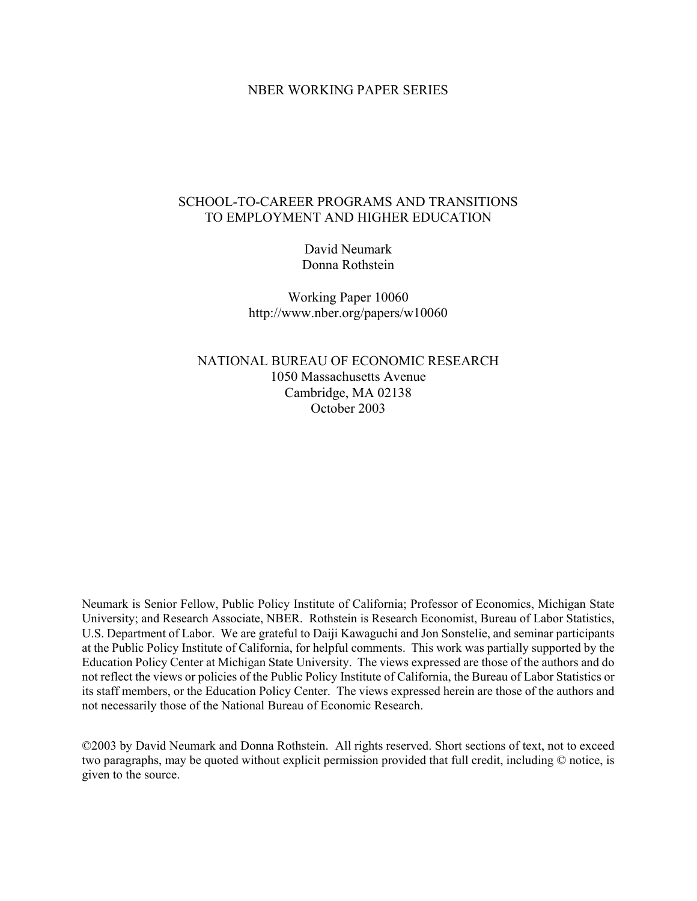## NBER WORKING PAPER SERIES

# SCHOOL-TO-CAREER PROGRAMS AND TRANSITIONS TO EMPLOYMENT AND HIGHER EDUCATION

David Neumark Donna Rothstein

Working Paper 10060 http://www.nber.org/papers/w10060

NATIONAL BUREAU OF ECONOMIC RESEARCH 1050 Massachusetts Avenue Cambridge, MA 02138 October 2003

Neumark is Senior Fellow, Public Policy Institute of California; Professor of Economics, Michigan State University; and Research Associate, NBER. Rothstein is Research Economist, Bureau of Labor Statistics, U.S. Department of Labor. We are grateful to Daiji Kawaguchi and Jon Sonstelie, and seminar participants at the Public Policy Institute of California, for helpful comments. This work was partially supported by the Education Policy Center at Michigan State University. The views expressed are those of the authors and do not reflect the views or policies of the Public Policy Institute of California, the Bureau of Labor Statistics or its staff members, or the Education Policy Center. The views expressed herein are those of the authors and not necessarily those of the National Bureau of Economic Research.

©2003 by David Neumark and Donna Rothstein. All rights reserved. Short sections of text, not to exceed two paragraphs, may be quoted without explicit permission provided that full credit, including © notice, is given to the source.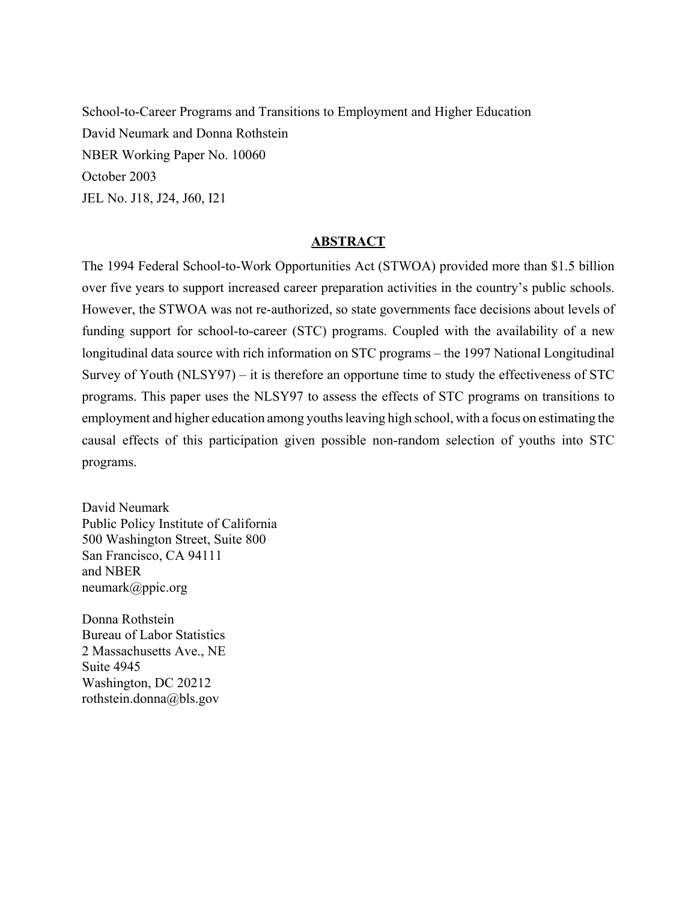School-to-Career Programs and Transitions to Employment and Higher Education David Neumark and Donna Rothstein NBER Working Paper No. 10060 October 2003 JEL No. J18, J24, J60, I21

## **ABSTRACT**

The 1994 Federal School-to-Work Opportunities Act (STWOA) provided more than \$1.5 billion over five years to support increased career preparation activities in the country's public schools. However, the STWOA was not re-authorized, so state governments face decisions about levels of funding support for school-to-career (STC) programs. Coupled with the availability of a new longitudinal data source with rich information on STC programs – the 1997 National Longitudinal Survey of Youth (NLSY97) – it is therefore an opportune time to study the effectiveness of STC programs. This paper uses the NLSY97 to assess the effects of STC programs on transitions to employment and higher education among youths leaving high school, with a focus on estimating the causal effects of this participation given possible non-random selection of youths into STC programs.

David Neumark Public Policy Institute of California 500 Washington Street, Suite 800 San Francisco, CA 94111 and NBER neumark@ppic.org

Donna Rothstein Bureau of Labor Statistics 2 Massachusetts Ave., NE Suite 4945 Washington, DC 20212 rothstein.donna@bls.gov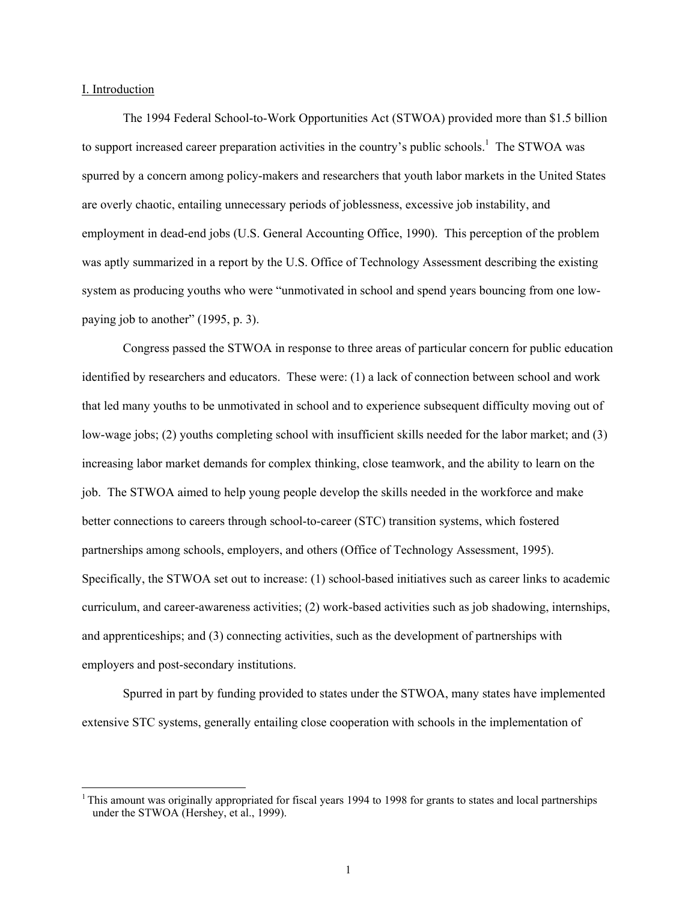#### I. Introduction

 $\overline{a}$ 

The 1994 Federal School-to-Work Opportunities Act (STWOA) provided more than \$1.5 billion to support increased career preparation activities in the country's public schools.<sup>1</sup> The STWOA was spurred by a concern among policy-makers and researchers that youth labor markets in the United States are overly chaotic, entailing unnecessary periods of joblessness, excessive job instability, and employment in dead-end jobs (U.S. General Accounting Office, 1990). This perception of the problem was aptly summarized in a report by the U.S. Office of Technology Assessment describing the existing system as producing youths who were "unmotivated in school and spend years bouncing from one lowpaying job to another" (1995, p. 3).

Congress passed the STWOA in response to three areas of particular concern for public education identified by researchers and educators. These were: (1) a lack of connection between school and work that led many youths to be unmotivated in school and to experience subsequent difficulty moving out of low-wage jobs; (2) youths completing school with insufficient skills needed for the labor market; and (3) increasing labor market demands for complex thinking, close teamwork, and the ability to learn on the job. The STWOA aimed to help young people develop the skills needed in the workforce and make better connections to careers through school-to-career (STC) transition systems, which fostered partnerships among schools, employers, and others (Office of Technology Assessment, 1995). Specifically, the STWOA set out to increase: (1) school-based initiatives such as career links to academic curriculum, and career-awareness activities; (2) work-based activities such as job shadowing, internships, and apprenticeships; and (3) connecting activities, such as the development of partnerships with employers and post-secondary institutions.

Spurred in part by funding provided to states under the STWOA, many states have implemented extensive STC systems, generally entailing close cooperation with schools in the implementation of

 $1$ <sup>1</sup> This amount was originally appropriated for fiscal years 1994 to 1998 for grants to states and local partnerships under the STWOA (Hershey, et al., 1999).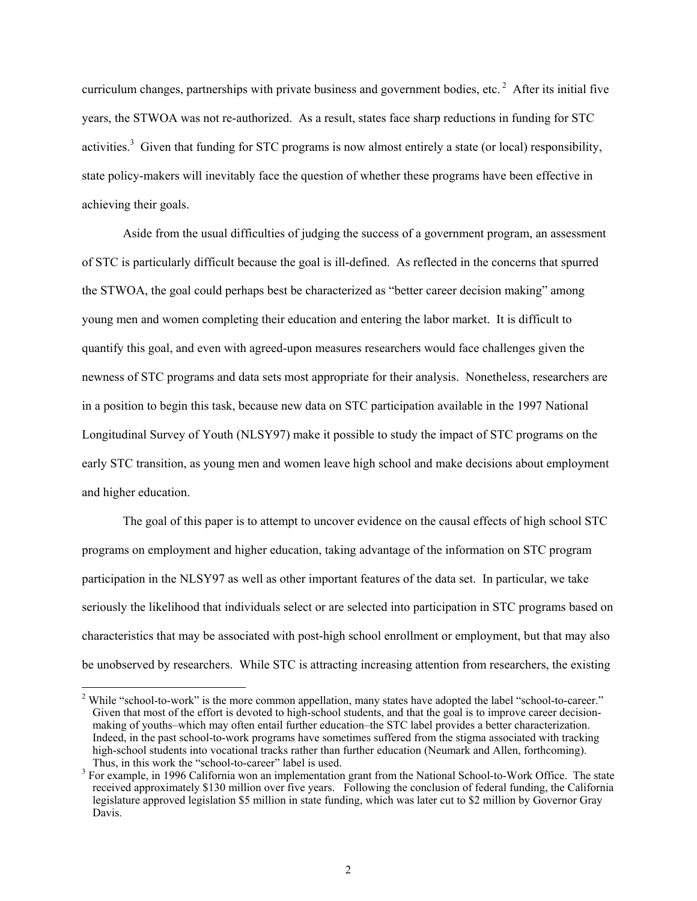curriculum changes, partnerships with private business and government bodies, etc.  $2$  After its initial five years, the STWOA was not re-authorized. As a result, states face sharp reductions in funding for STC activities.<sup>3</sup> Given that funding for STC programs is now almost entirely a state (or local) responsibility, state policy-makers will inevitably face the question of whether these programs have been effective in achieving their goals.

Aside from the usual difficulties of judging the success of a government program, an assessment of STC is particularly difficult because the goal is ill-defined. As reflected in the concerns that spurred the STWOA, the goal could perhaps best be characterized as "better career decision making" among young men and women completing their education and entering the labor market. It is difficult to quantify this goal, and even with agreed-upon measures researchers would face challenges given the newness of STC programs and data sets most appropriate for their analysis. Nonetheless, researchers are in a position to begin this task, because new data on STC participation available in the 1997 National Longitudinal Survey of Youth (NLSY97) make it possible to study the impact of STC programs on the early STC transition, as young men and women leave high school and make decisions about employment and higher education.

The goal of this paper is to attempt to uncover evidence on the causal effects of high school STC programs on employment and higher education, taking advantage of the information on STC program participation in the NLSY97 as well as other important features of the data set. In particular, we take seriously the likelihood that individuals select or are selected into participation in STC programs based on characteristics that may be associated with post-high school enrollment or employment, but that may also be unobserved by researchers. While STC is attracting increasing attention from researchers, the existing

<sup>&</sup>lt;sup>2</sup> While "school-to-work" is the more common appellation, many states have adopted the label "school-to-career." Given that most of the effort is devoted to high-school students, and that the goal is to improve career decisionmaking of youths–which may often entail further education–the STC label provides a better characterization. Indeed, in the past school-to-work programs have sometimes suffered from the stigma associated with tracking high-school students into vocational tracks rather than further education (Neumark and Allen, forthcoming). Thus, in this work the "school-to-career" label is used.

<sup>&</sup>lt;sup>3</sup> For example, in 1996 California won an implementation grant from the National School-to-Work Office. The state received approximately \$130 million over five years. Following the conclusion of federal funding, the California legislature approved legislation \$5 million in state funding, which was later cut to \$2 million by Governor Gray Davis.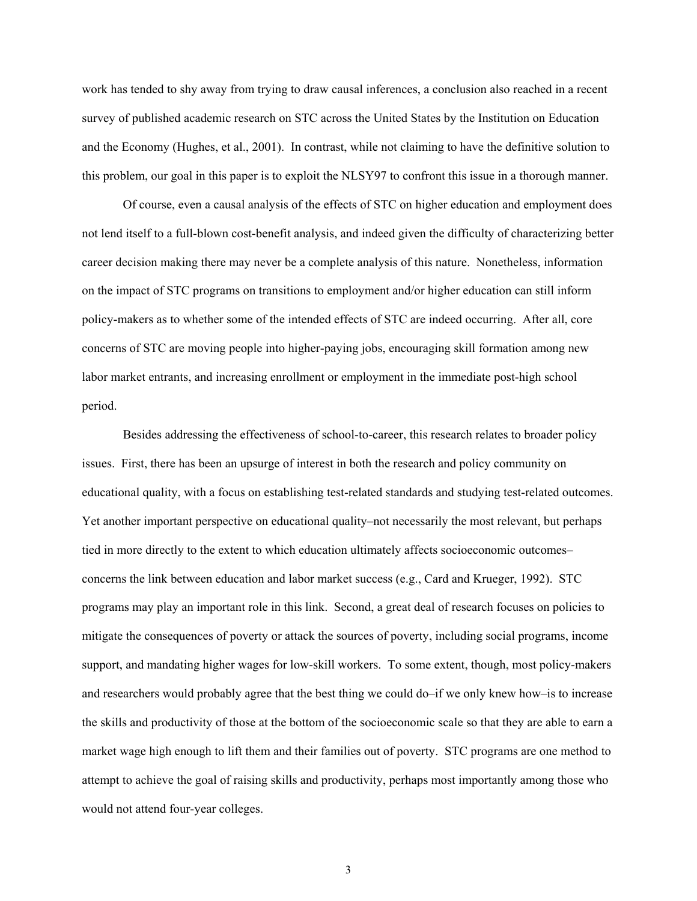work has tended to shy away from trying to draw causal inferences, a conclusion also reached in a recent survey of published academic research on STC across the United States by the Institution on Education and the Economy (Hughes, et al., 2001). In contrast, while not claiming to have the definitive solution to this problem, our goal in this paper is to exploit the NLSY97 to confront this issue in a thorough manner.

Of course, even a causal analysis of the effects of STC on higher education and employment does not lend itself to a full-blown cost-benefit analysis, and indeed given the difficulty of characterizing better career decision making there may never be a complete analysis of this nature. Nonetheless, information on the impact of STC programs on transitions to employment and/or higher education can still inform policy-makers as to whether some of the intended effects of STC are indeed occurring. After all, core concerns of STC are moving people into higher-paying jobs, encouraging skill formation among new labor market entrants, and increasing enrollment or employment in the immediate post-high school period.

Besides addressing the effectiveness of school-to-career, this research relates to broader policy issues. First, there has been an upsurge of interest in both the research and policy community on educational quality, with a focus on establishing test-related standards and studying test-related outcomes. Yet another important perspective on educational quality–not necessarily the most relevant, but perhaps tied in more directly to the extent to which education ultimately affects socioeconomic outcomes– concerns the link between education and labor market success (e.g., Card and Krueger, 1992). STC programs may play an important role in this link. Second, a great deal of research focuses on policies to mitigate the consequences of poverty or attack the sources of poverty, including social programs, income support, and mandating higher wages for low-skill workers. To some extent, though, most policy-makers and researchers would probably agree that the best thing we could do–if we only knew how–is to increase the skills and productivity of those at the bottom of the socioeconomic scale so that they are able to earn a market wage high enough to lift them and their families out of poverty. STC programs are one method to attempt to achieve the goal of raising skills and productivity, perhaps most importantly among those who would not attend four-year colleges.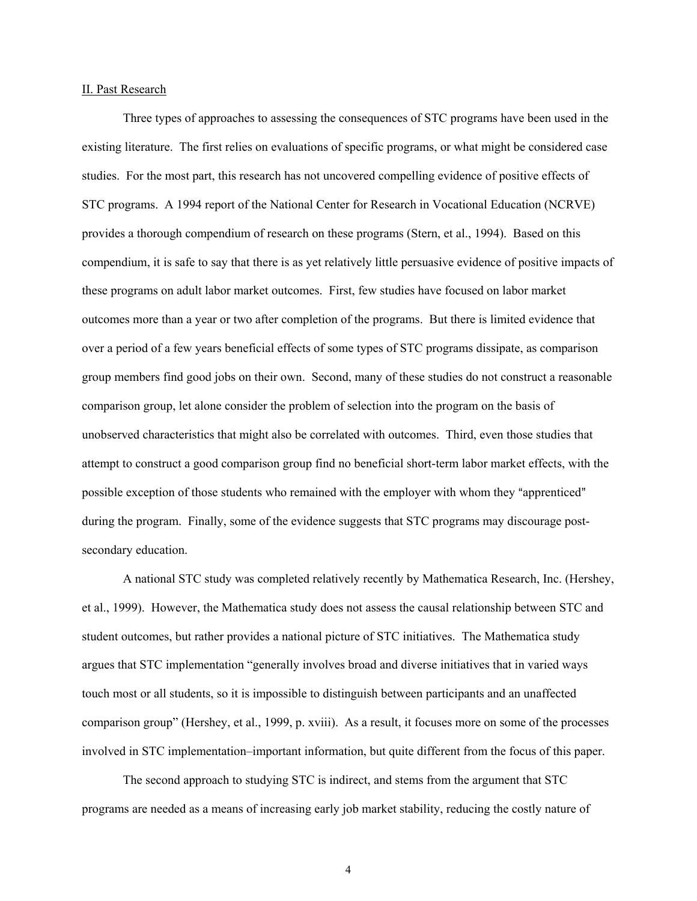#### II. Past Research

Three types of approaches to assessing the consequences of STC programs have been used in the existing literature. The first relies on evaluations of specific programs, or what might be considered case studies. For the most part, this research has not uncovered compelling evidence of positive effects of STC programs. A 1994 report of the National Center for Research in Vocational Education (NCRVE) provides a thorough compendium of research on these programs (Stern, et al., 1994). Based on this compendium, it is safe to say that there is as yet relatively little persuasive evidence of positive impacts of these programs on adult labor market outcomes. First, few studies have focused on labor market outcomes more than a year or two after completion of the programs. But there is limited evidence that over a period of a few years beneficial effects of some types of STC programs dissipate, as comparison group members find good jobs on their own. Second, many of these studies do not construct a reasonable comparison group, let alone consider the problem of selection into the program on the basis of unobserved characteristics that might also be correlated with outcomes. Third, even those studies that attempt to construct a good comparison group find no beneficial short-term labor market effects, with the possible exception of those students who remained with the employer with whom they "apprenticed" during the program. Finally, some of the evidence suggests that STC programs may discourage postsecondary education.

A national STC study was completed relatively recently by Mathematica Research, Inc. (Hershey, et al., 1999). However, the Mathematica study does not assess the causal relationship between STC and student outcomes, but rather provides a national picture of STC initiatives. The Mathematica study argues that STC implementation "generally involves broad and diverse initiatives that in varied ways touch most or all students, so it is impossible to distinguish between participants and an unaffected comparison group" (Hershey, et al., 1999, p. xviii). As a result, it focuses more on some of the processes involved in STC implementation–important information, but quite different from the focus of this paper.

The second approach to studying STC is indirect, and stems from the argument that STC programs are needed as a means of increasing early job market stability, reducing the costly nature of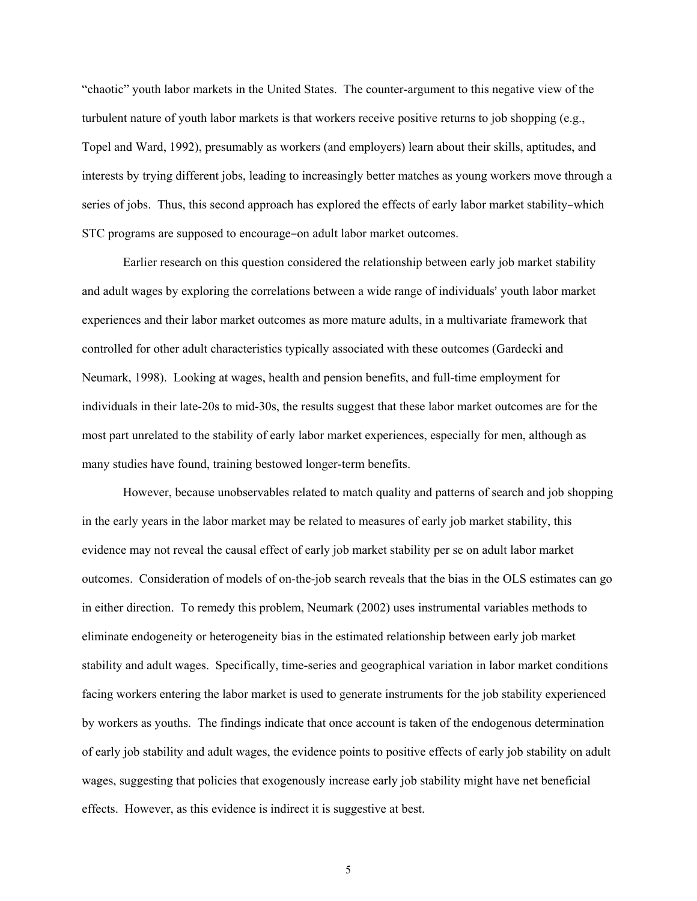"chaotic" youth labor markets in the United States. The counter-argument to this negative view of the turbulent nature of youth labor markets is that workers receive positive returns to job shopping (e.g., Topel and Ward, 1992), presumably as workers (and employers) learn about their skills, aptitudes, and interests by trying different jobs, leading to increasingly better matches as young workers move through a series of jobs. Thus, this second approach has explored the effects of early labor market stability-which STC programs are supposed to encourage-on adult labor market outcomes.

Earlier research on this question considered the relationship between early job market stability and adult wages by exploring the correlations between a wide range of individuals' youth labor market experiences and their labor market outcomes as more mature adults, in a multivariate framework that controlled for other adult characteristics typically associated with these outcomes (Gardecki and Neumark, 1998). Looking at wages, health and pension benefits, and full-time employment for individuals in their late-20s to mid-30s, the results suggest that these labor market outcomes are for the most part unrelated to the stability of early labor market experiences, especially for men, although as many studies have found, training bestowed longer-term benefits.

However, because unobservables related to match quality and patterns of search and job shopping in the early years in the labor market may be related to measures of early job market stability, this evidence may not reveal the causal effect of early job market stability per se on adult labor market outcomes. Consideration of models of on-the-job search reveals that the bias in the OLS estimates can go in either direction. To remedy this problem, Neumark (2002) uses instrumental variables methods to eliminate endogeneity or heterogeneity bias in the estimated relationship between early job market stability and adult wages. Specifically, time-series and geographical variation in labor market conditions facing workers entering the labor market is used to generate instruments for the job stability experienced by workers as youths. The findings indicate that once account is taken of the endogenous determination of early job stability and adult wages, the evidence points to positive effects of early job stability on adult wages, suggesting that policies that exogenously increase early job stability might have net beneficial effects. However, as this evidence is indirect it is suggestive at best.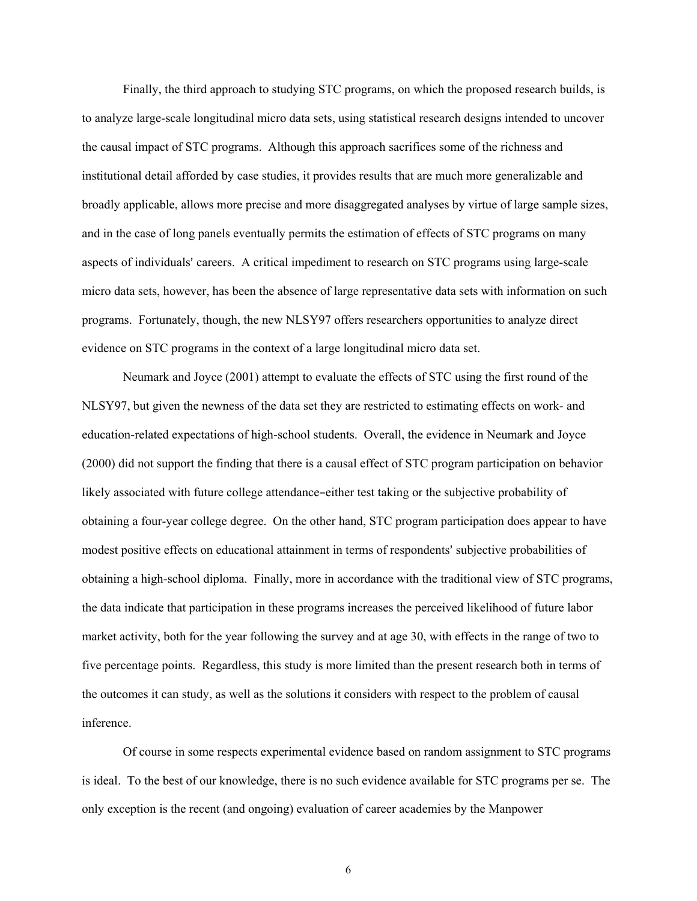Finally, the third approach to studying STC programs, on which the proposed research builds, is to analyze large-scale longitudinal micro data sets, using statistical research designs intended to uncover the causal impact of STC programs. Although this approach sacrifices some of the richness and institutional detail afforded by case studies, it provides results that are much more generalizable and broadly applicable, allows more precise and more disaggregated analyses by virtue of large sample sizes, and in the case of long panels eventually permits the estimation of effects of STC programs on many aspects of individuals' careers. A critical impediment to research on STC programs using large-scale micro data sets, however, has been the absence of large representative data sets with information on such programs. Fortunately, though, the new NLSY97 offers researchers opportunities to analyze direct evidence on STC programs in the context of a large longitudinal micro data set.

Neumark and Joyce (2001) attempt to evaluate the effects of STC using the first round of the NLSY97, but given the newness of the data set they are restricted to estimating effects on work- and education-related expectations of high-school students. Overall, the evidence in Neumark and Joyce (2000) did not support the finding that there is a causal effect of STC program participation on behavior likely associated with future college attendance-either test taking or the subjective probability of obtaining a four-year college degree. On the other hand, STC program participation does appear to have modest positive effects on educational attainment in terms of respondents' subjective probabilities of obtaining a high-school diploma. Finally, more in accordance with the traditional view of STC programs, the data indicate that participation in these programs increases the perceived likelihood of future labor market activity, both for the year following the survey and at age 30, with effects in the range of two to five percentage points. Regardless, this study is more limited than the present research both in terms of the outcomes it can study, as well as the solutions it considers with respect to the problem of causal inference.

Of course in some respects experimental evidence based on random assignment to STC programs is ideal. To the best of our knowledge, there is no such evidence available for STC programs per se. The only exception is the recent (and ongoing) evaluation of career academies by the Manpower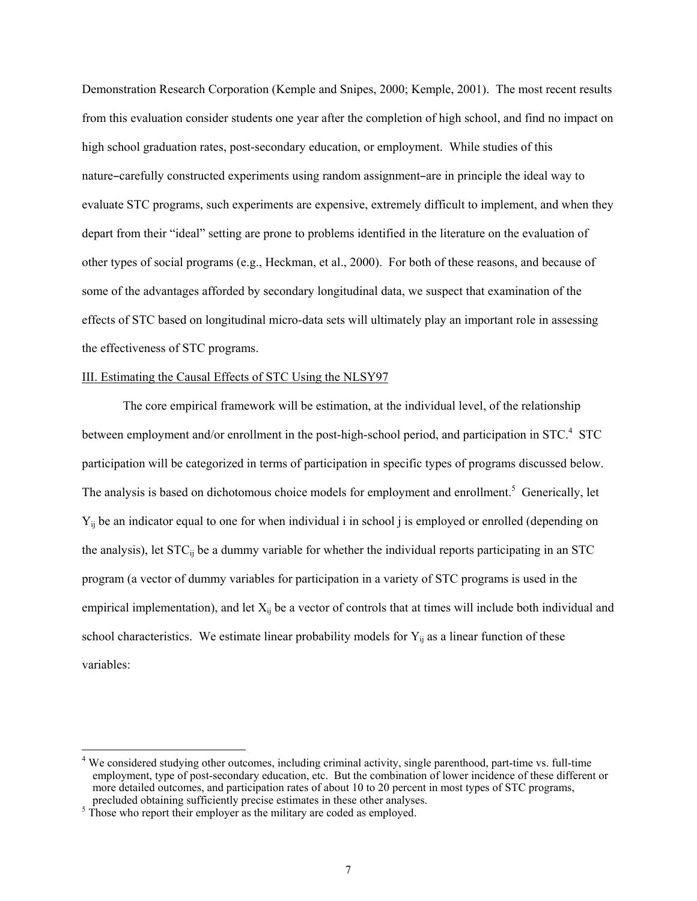Demonstration Research Corporation (Kemple and Snipes, 2000; Kemple, 2001). The most recent results from this evaluation consider students one year after the completion of high school, and find no impact on high school graduation rates, post-secondary education, or employment. While studies of this nature-carefully constructed experiments using random assignment-are in principle the ideal way to evaluate STC programs, such experiments are expensive, extremely difficult to implement, and when they depart from their "ideal" setting are prone to problems identified in the literature on the evaluation of other types of social programs (e.g., Heckman, et al., 2000). For both of these reasons, and because of some of the advantages afforded by secondary longitudinal data, we suspect that examination of the effects of STC based on longitudinal micro-data sets will ultimately play an important role in assessing the effectiveness of STC programs.

## III. Estimating the Causal Effects of STC Using the NLSY97

The core empirical framework will be estimation, at the individual level, of the relationship between employment and/or enrollment in the post-high-school period, and participation in STC.<sup>4</sup> STC participation will be categorized in terms of participation in specific types of programs discussed below. The analysis is based on dichotomous choice models for employment and enrollment.<sup>5</sup> Generically, let Yij be an indicator equal to one for when individual i in school j is employed or enrolled (depending on the analysis), let STC<sub>ij</sub> be a dummy variable for whether the individual reports participating in an STC program (a vector of dummy variables for participation in a variety of STC programs is used in the empirical implementation), and let  $X_{ii}$  be a vector of controls that at times will include both individual and school characteristics. We estimate linear probability models for  $Y_{ij}$  as a linear function of these variables:

<sup>&</sup>lt;sup>4</sup> We considered studying other outcomes, including criminal activity, single parenthood, part-time vs. full-time employment, type of post-secondary education, etc. But the combination of lower incidence of these different or more detailed outcomes, and participation rates of about 10 to 20 percent in most types of STC programs, precluded obtaining sufficiently precise estimates in these other analyses.

<sup>&</sup>lt;sup>5</sup> Those who report their employer as the military are coded as employed.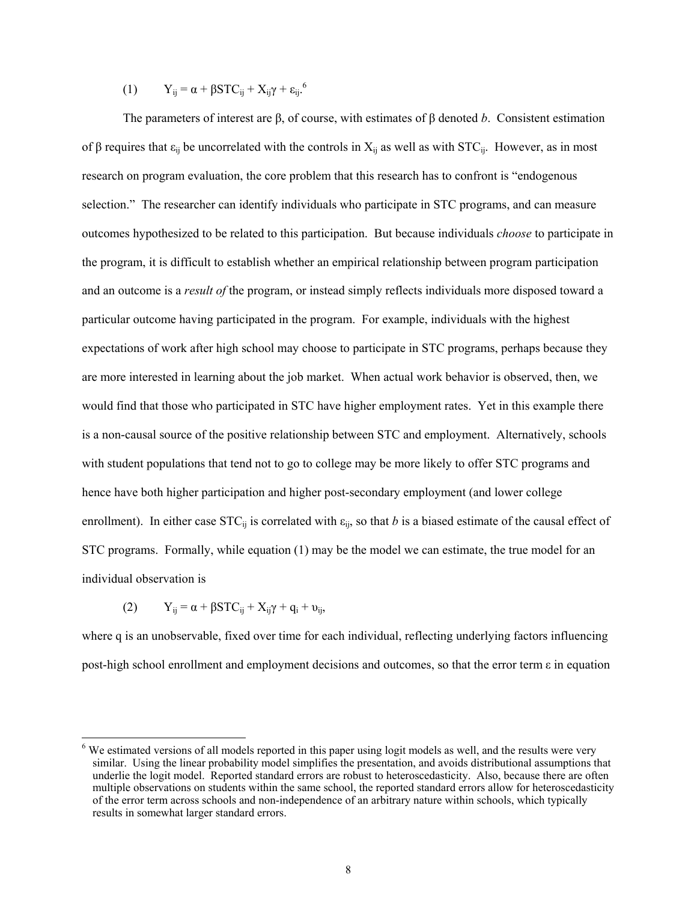(1) 
$$
Y_{ij} = \alpha + \beta STC_{ij} + X_{ij}\gamma + \epsilon_{ij}^{6}
$$

The parameters of interest are β, of course, with estimates of β denoted *b*. Consistent estimation of β requires that  $\varepsilon_{ii}$  be uncorrelated with the controls in  $X_{ii}$  as well as with STC<sub>ij</sub>. However, as in most research on program evaluation, the core problem that this research has to confront is "endogenous selection." The researcher can identify individuals who participate in STC programs, and can measure outcomes hypothesized to be related to this participation. But because individuals *choose* to participate in the program, it is difficult to establish whether an empirical relationship between program participation and an outcome is a *result of* the program, or instead simply reflects individuals more disposed toward a particular outcome having participated in the program. For example, individuals with the highest expectations of work after high school may choose to participate in STC programs, perhaps because they are more interested in learning about the job market. When actual work behavior is observed, then, we would find that those who participated in STC have higher employment rates. Yet in this example there is a non-causal source of the positive relationship between STC and employment. Alternatively, schools with student populations that tend not to go to college may be more likely to offer STC programs and hence have both higher participation and higher post-secondary employment (and lower college enrollment). In either case  $STC_{ii}$  is correlated with  $\varepsilon_{ii}$ , so that *b* is a biased estimate of the causal effect of STC programs. Formally, while equation (1) may be the model we can estimate, the true model for an individual observation is

$$
(2) \tY_{ij} = \alpha + \beta STC_{ij} + X_{ij}\gamma + q_i + \nu_{ij},
$$

 $\overline{a}$ 

where q is an unobservable, fixed over time for each individual, reflecting underlying factors influencing post-high school enrollment and employment decisions and outcomes, so that the error term ε in equation

<sup>&</sup>lt;sup>6</sup> We estimated versions of all models reported in this paper using logit models as well, and the results were very similar. Using the linear probability model simplifies the presentation, and avoids distributional assumptions that underlie the logit model. Reported standard errors are robust to heteroscedasticity. Also, because there are often multiple observations on students within the same school, the reported standard errors allow for heteroscedasticity of the error term across schools and non-independence of an arbitrary nature within schools, which typically results in somewhat larger standard errors.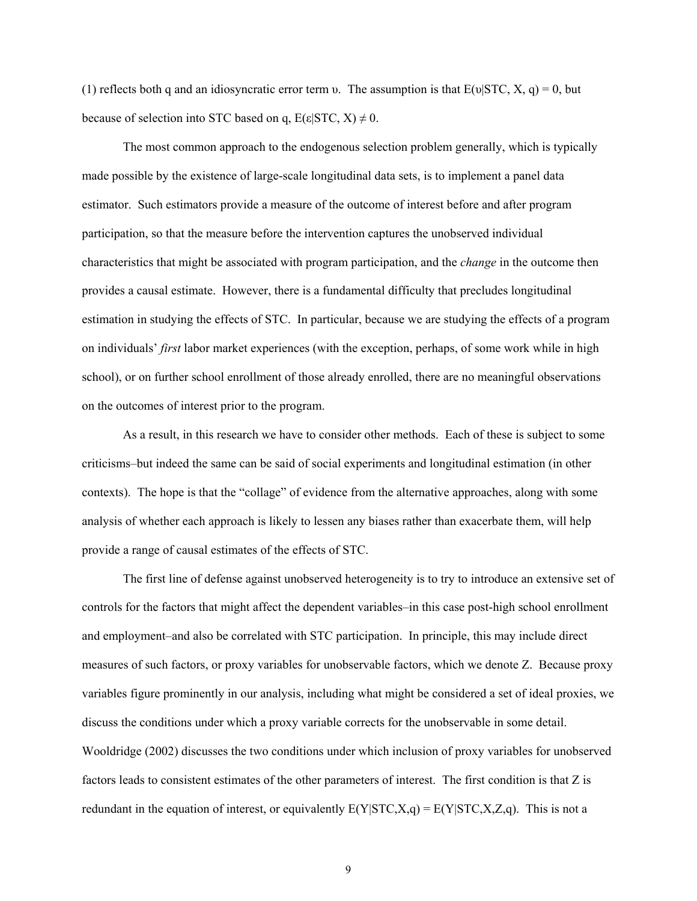(1) reflects both q and an idiosyncratic error term υ. The assumption is that  $E(v|STC, X, q) = 0$ , but because of selection into STC based on q,  $E(\epsilon|STC, X) \neq 0$ .

The most common approach to the endogenous selection problem generally, which is typically made possible by the existence of large-scale longitudinal data sets, is to implement a panel data estimator. Such estimators provide a measure of the outcome of interest before and after program participation, so that the measure before the intervention captures the unobserved individual characteristics that might be associated with program participation, and the *change* in the outcome then provides a causal estimate. However, there is a fundamental difficulty that precludes longitudinal estimation in studying the effects of STC. In particular, because we are studying the effects of a program on individuals' *first* labor market experiences (with the exception, perhaps, of some work while in high school), or on further school enrollment of those already enrolled, there are no meaningful observations on the outcomes of interest prior to the program.

As a result, in this research we have to consider other methods. Each of these is subject to some criticisms–but indeed the same can be said of social experiments and longitudinal estimation (in other contexts). The hope is that the "collage" of evidence from the alternative approaches, along with some analysis of whether each approach is likely to lessen any biases rather than exacerbate them, will help provide a range of causal estimates of the effects of STC.

The first line of defense against unobserved heterogeneity is to try to introduce an extensive set of controls for the factors that might affect the dependent variables–in this case post-high school enrollment and employment–and also be correlated with STC participation. In principle, this may include direct measures of such factors, or proxy variables for unobservable factors, which we denote Z. Because proxy variables figure prominently in our analysis, including what might be considered a set of ideal proxies, we discuss the conditions under which a proxy variable corrects for the unobservable in some detail. Wooldridge (2002) discusses the two conditions under which inclusion of proxy variables for unobserved factors leads to consistent estimates of the other parameters of interest. The first condition is that Z is redundant in the equation of interest, or equivalently  $E(Y|STC, X, q) = E(Y|STC, X, Z, q)$ . This is not a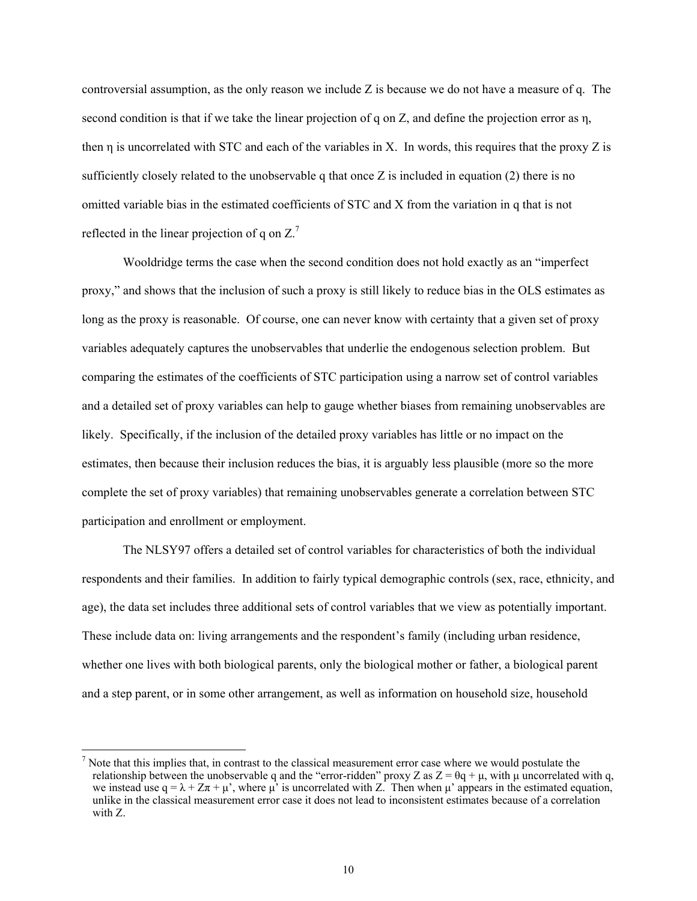controversial assumption, as the only reason we include Z is because we do not have a measure of q. The second condition is that if we take the linear projection of q on Z, and define the projection error as  $\eta$ , then η is uncorrelated with STC and each of the variables in X. In words, this requires that the proxy Z is sufficiently closely related to the unobservable q that once  $Z$  is included in equation (2) there is no omitted variable bias in the estimated coefficients of STC and X from the variation in q that is not reflected in the linear projection of q on  $Z<sup>7</sup>$ 

Wooldridge terms the case when the second condition does not hold exactly as an "imperfect proxy," and shows that the inclusion of such a proxy is still likely to reduce bias in the OLS estimates as long as the proxy is reasonable. Of course, one can never know with certainty that a given set of proxy variables adequately captures the unobservables that underlie the endogenous selection problem. But comparing the estimates of the coefficients of STC participation using a narrow set of control variables and a detailed set of proxy variables can help to gauge whether biases from remaining unobservables are likely. Specifically, if the inclusion of the detailed proxy variables has little or no impact on the estimates, then because their inclusion reduces the bias, it is arguably less plausible (more so the more complete the set of proxy variables) that remaining unobservables generate a correlation between STC participation and enrollment or employment.

The NLSY97 offers a detailed set of control variables for characteristics of both the individual respondents and their families. In addition to fairly typical demographic controls (sex, race, ethnicity, and age), the data set includes three additional sets of control variables that we view as potentially important. These include data on: living arrangements and the respondent's family (including urban residence, whether one lives with both biological parents, only the biological mother or father, a biological parent and a step parent, or in some other arrangement, as well as information on household size, household

 $<sup>7</sup>$  Note that this implies that, in contrast to the classical measurement error case where we would postulate the</sup> relationship between the unobservable q and the "error-ridden" proxy Z as  $Z = \theta q + \mu$ , with  $\mu$  uncorrelated with q, we instead use  $q = \lambda + Z\pi + \mu'$ , where  $\mu'$  is uncorrelated with Z. Then when  $\mu'$  appears in the estimated equation, unlike in the classical measurement error case it does not lead to inconsistent estimates because of a correlation with Z.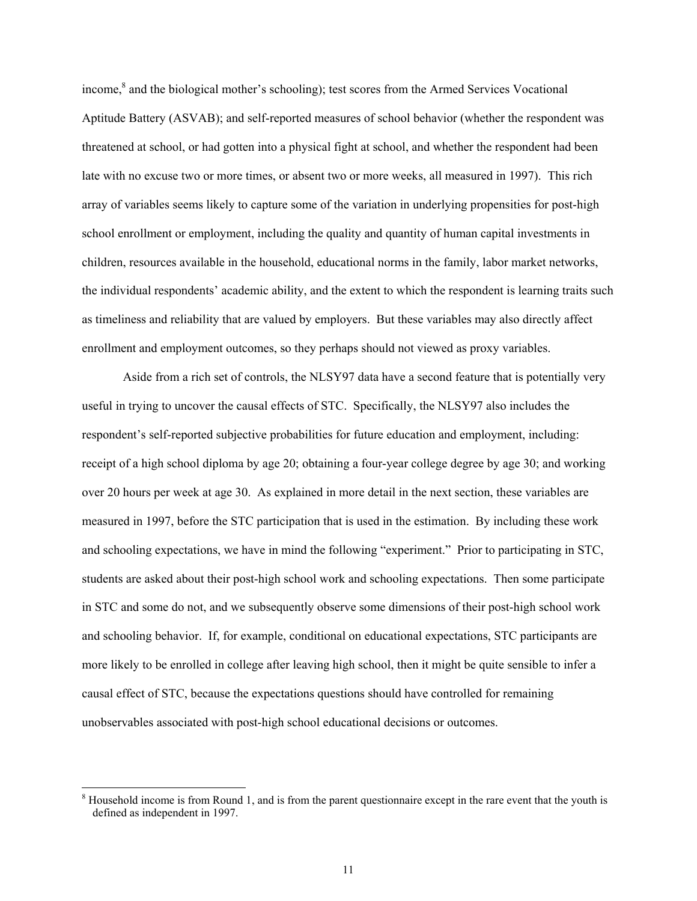income,<sup>8</sup> and the biological mother's schooling); test scores from the Armed Services Vocational Aptitude Battery (ASVAB); and self-reported measures of school behavior (whether the respondent was threatened at school, or had gotten into a physical fight at school, and whether the respondent had been late with no excuse two or more times, or absent two or more weeks, all measured in 1997). This rich array of variables seems likely to capture some of the variation in underlying propensities for post-high school enrollment or employment, including the quality and quantity of human capital investments in children, resources available in the household, educational norms in the family, labor market networks, the individual respondents' academic ability, and the extent to which the respondent is learning traits such as timeliness and reliability that are valued by employers. But these variables may also directly affect enrollment and employment outcomes, so they perhaps should not viewed as proxy variables.

Aside from a rich set of controls, the NLSY97 data have a second feature that is potentially very useful in trying to uncover the causal effects of STC. Specifically, the NLSY97 also includes the respondent's self-reported subjective probabilities for future education and employment, including: receipt of a high school diploma by age 20; obtaining a four-year college degree by age 30; and working over 20 hours per week at age 30. As explained in more detail in the next section, these variables are measured in 1997, before the STC participation that is used in the estimation. By including these work and schooling expectations, we have in mind the following "experiment." Prior to participating in STC, students are asked about their post-high school work and schooling expectations. Then some participate in STC and some do not, and we subsequently observe some dimensions of their post-high school work and schooling behavior. If, for example, conditional on educational expectations, STC participants are more likely to be enrolled in college after leaving high school, then it might be quite sensible to infer a causal effect of STC, because the expectations questions should have controlled for remaining unobservables associated with post-high school educational decisions or outcomes.

<sup>&</sup>lt;sup>8</sup> Household income is from Round 1, and is from the parent questionnaire except in the rare event that the youth is defined as independent in 1997.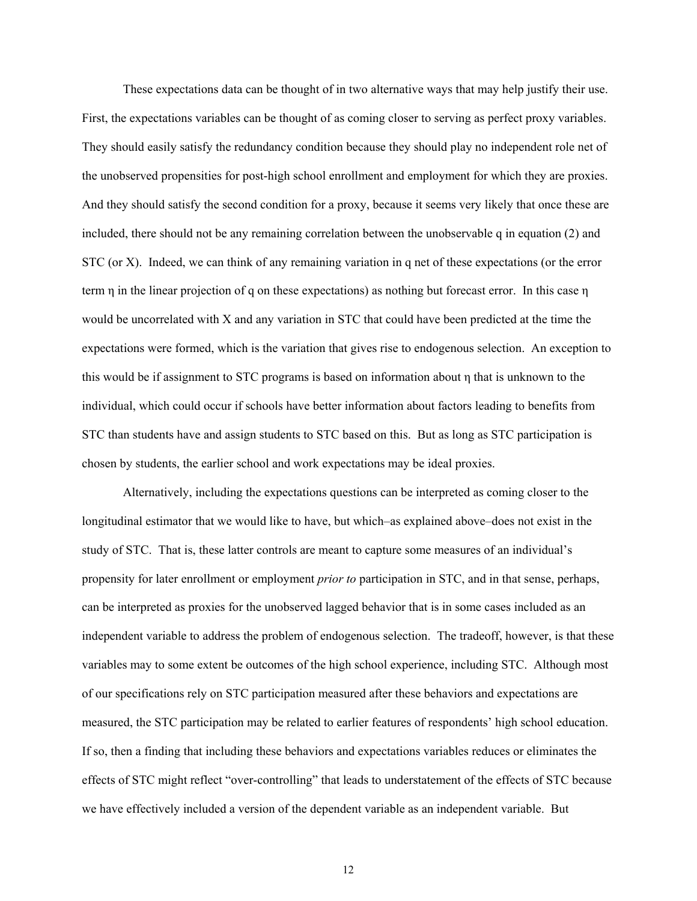These expectations data can be thought of in two alternative ways that may help justify their use. First, the expectations variables can be thought of as coming closer to serving as perfect proxy variables. They should easily satisfy the redundancy condition because they should play no independent role net of the unobserved propensities for post-high school enrollment and employment for which they are proxies. And they should satisfy the second condition for a proxy, because it seems very likely that once these are included, there should not be any remaining correlation between the unobservable q in equation (2) and STC (or X). Indeed, we can think of any remaining variation in q net of these expectations (or the error term  $\eta$  in the linear projection of q on these expectations) as nothing but forecast error. In this case  $\eta$ would be uncorrelated with X and any variation in STC that could have been predicted at the time the expectations were formed, which is the variation that gives rise to endogenous selection. An exception to this would be if assignment to STC programs is based on information about η that is unknown to the individual, which could occur if schools have better information about factors leading to benefits from STC than students have and assign students to STC based on this. But as long as STC participation is chosen by students, the earlier school and work expectations may be ideal proxies.

Alternatively, including the expectations questions can be interpreted as coming closer to the longitudinal estimator that we would like to have, but which–as explained above–does not exist in the study of STC. That is, these latter controls are meant to capture some measures of an individual's propensity for later enrollment or employment *prior to* participation in STC, and in that sense, perhaps, can be interpreted as proxies for the unobserved lagged behavior that is in some cases included as an independent variable to address the problem of endogenous selection. The tradeoff, however, is that these variables may to some extent be outcomes of the high school experience, including STC. Although most of our specifications rely on STC participation measured after these behaviors and expectations are measured, the STC participation may be related to earlier features of respondents' high school education. If so, then a finding that including these behaviors and expectations variables reduces or eliminates the effects of STC might reflect "over-controlling" that leads to understatement of the effects of STC because we have effectively included a version of the dependent variable as an independent variable. But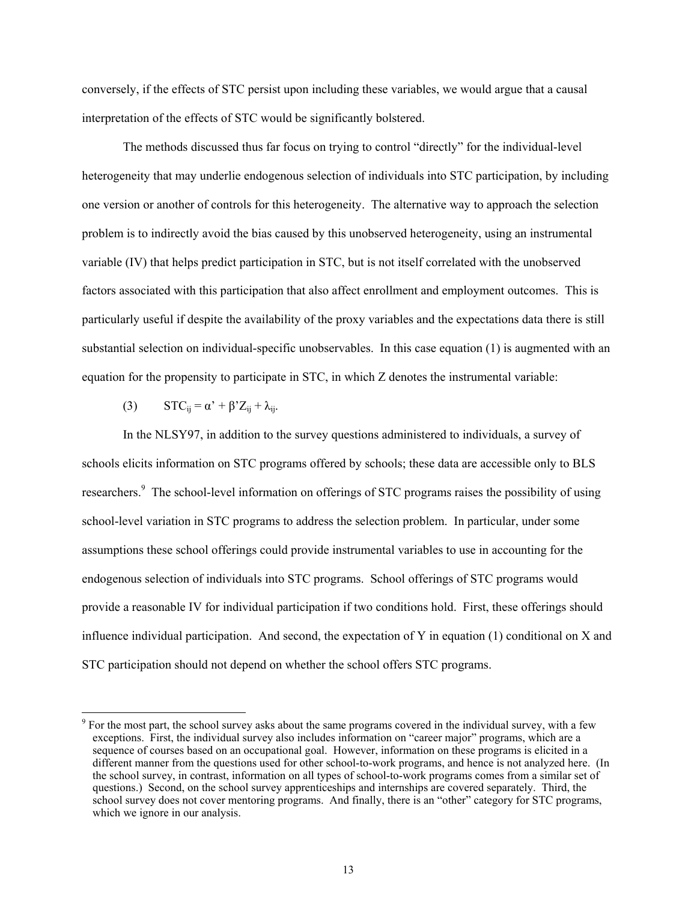conversely, if the effects of STC persist upon including these variables, we would argue that a causal interpretation of the effects of STC would be significantly bolstered.

The methods discussed thus far focus on trying to control "directly" for the individual-level heterogeneity that may underlie endogenous selection of individuals into STC participation, by including one version or another of controls for this heterogeneity. The alternative way to approach the selection problem is to indirectly avoid the bias caused by this unobserved heterogeneity, using an instrumental variable (IV) that helps predict participation in STC, but is not itself correlated with the unobserved factors associated with this participation that also affect enrollment and employment outcomes. This is particularly useful if despite the availability of the proxy variables and the expectations data there is still substantial selection on individual-specific unobservables. In this case equation (1) is augmented with an equation for the propensity to participate in STC, in which Z denotes the instrumental variable:

(3)  $STC_{ij} = \alpha' + \beta' Z_{ij} + \lambda_{ij}.$ 

 $\overline{a}$ 

In the NLSY97, in addition to the survey questions administered to individuals, a survey of schools elicits information on STC programs offered by schools; these data are accessible only to BLS researchers.<sup>9</sup> The school-level information on offerings of STC programs raises the possibility of using school-level variation in STC programs to address the selection problem. In particular, under some assumptions these school offerings could provide instrumental variables to use in accounting for the endogenous selection of individuals into STC programs. School offerings of STC programs would provide a reasonable IV for individual participation if two conditions hold. First, these offerings should influence individual participation. And second, the expectation of Y in equation (1) conditional on X and STC participation should not depend on whether the school offers STC programs.

<sup>&</sup>lt;sup>9</sup> For the most part, the school survey asks about the same programs covered in the individual survey, with a few exceptions. First, the individual survey also includes information on "career major" programs, which are a sequence of courses based on an occupational goal. However, information on these programs is elicited in a different manner from the questions used for other school-to-work programs, and hence is not analyzed here. (In the school survey, in contrast, information on all types of school-to-work programs comes from a similar set of questions.) Second, on the school survey apprenticeships and internships are covered separately. Third, the school survey does not cover mentoring programs. And finally, there is an "other" category for STC programs, which we ignore in our analysis.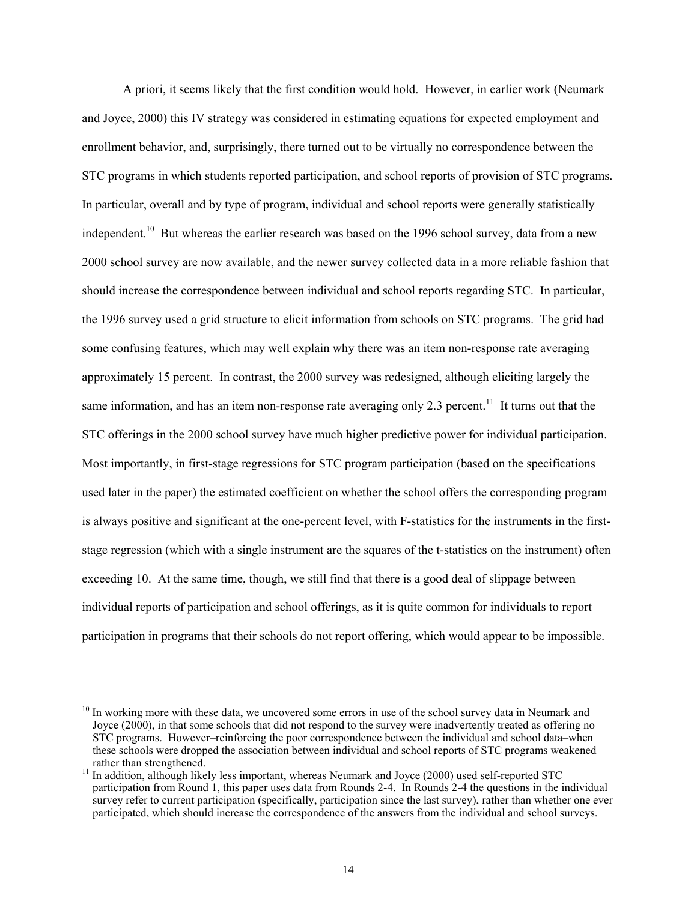A priori, it seems likely that the first condition would hold. However, in earlier work (Neumark and Joyce, 2000) this IV strategy was considered in estimating equations for expected employment and enrollment behavior, and, surprisingly, there turned out to be virtually no correspondence between the STC programs in which students reported participation, and school reports of provision of STC programs. In particular, overall and by type of program, individual and school reports were generally statistically independent.<sup>10</sup> But whereas the earlier research was based on the 1996 school survey, data from a new 2000 school survey are now available, and the newer survey collected data in a more reliable fashion that should increase the correspondence between individual and school reports regarding STC. In particular, the 1996 survey used a grid structure to elicit information from schools on STC programs. The grid had some confusing features, which may well explain why there was an item non-response rate averaging approximately 15 percent. In contrast, the 2000 survey was redesigned, although eliciting largely the same information, and has an item non-response rate averaging only 2.3 percent.<sup>11</sup> It turns out that the STC offerings in the 2000 school survey have much higher predictive power for individual participation. Most importantly, in first-stage regressions for STC program participation (based on the specifications used later in the paper) the estimated coefficient on whether the school offers the corresponding program is always positive and significant at the one-percent level, with F-statistics for the instruments in the firststage regression (which with a single instrument are the squares of the t-statistics on the instrument) often exceeding 10. At the same time, though, we still find that there is a good deal of slippage between individual reports of participation and school offerings, as it is quite common for individuals to report participation in programs that their schools do not report offering, which would appear to be impossible.

<sup>&</sup>lt;sup>10</sup> In working more with these data, we uncovered some errors in use of the school survey data in Neumark and Joyce (2000), in that some schools that did not respond to the survey were inadvertently treated as offering no STC programs. However–reinforcing the poor correspondence between the individual and school data–when these schools were dropped the association between individual and school reports of STC programs weakened

<sup>&</sup>lt;sup>11</sup> In addition, although likely less important, whereas Neumark and Joyce (2000) used self-reported STC participation from Round 1, this paper uses data from Rounds 2-4. In Rounds 2-4 the questions in the individual survey refer to current participation (specifically, participation since the last survey), rather than whether one ever participated, which should increase the correspondence of the answers from the individual and school surveys.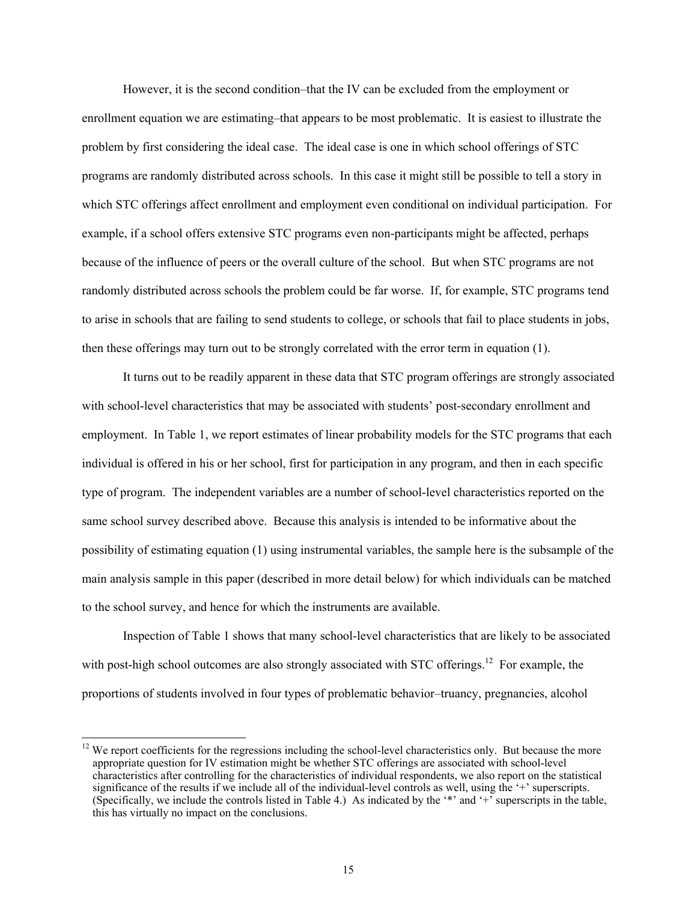However, it is the second condition–that the IV can be excluded from the employment or enrollment equation we are estimating–that appears to be most problematic. It is easiest to illustrate the problem by first considering the ideal case. The ideal case is one in which school offerings of STC programs are randomly distributed across schools. In this case it might still be possible to tell a story in which STC offerings affect enrollment and employment even conditional on individual participation. For example, if a school offers extensive STC programs even non-participants might be affected, perhaps because of the influence of peers or the overall culture of the school. But when STC programs are not randomly distributed across schools the problem could be far worse. If, for example, STC programs tend to arise in schools that are failing to send students to college, or schools that fail to place students in jobs, then these offerings may turn out to be strongly correlated with the error term in equation (1).

It turns out to be readily apparent in these data that STC program offerings are strongly associated with school-level characteristics that may be associated with students' post-secondary enrollment and employment. In Table 1, we report estimates of linear probability models for the STC programs that each individual is offered in his or her school, first for participation in any program, and then in each specific type of program. The independent variables are a number of school-level characteristics reported on the same school survey described above. Because this analysis is intended to be informative about the possibility of estimating equation (1) using instrumental variables, the sample here is the subsample of the main analysis sample in this paper (described in more detail below) for which individuals can be matched to the school survey, and hence for which the instruments are available.

Inspection of Table 1 shows that many school-level characteristics that are likely to be associated with post-high school outcomes are also strongly associated with STC offerings.<sup>12</sup> For example, the proportions of students involved in four types of problematic behavior–truancy, pregnancies, alcohol

 $12$  We report coefficients for the regressions including the school-level characteristics only. But because the more appropriate question for IV estimation might be whether STC offerings are associated with school-level characteristics after controlling for the characteristics of individual respondents, we also report on the statistical significance of the results if we include all of the individual-level controls as well, using the '+' superscripts. (Specifically, we include the controls listed in Table 4.) As indicated by the '\*' and '+' superscripts in the table, this has virtually no impact on the conclusions.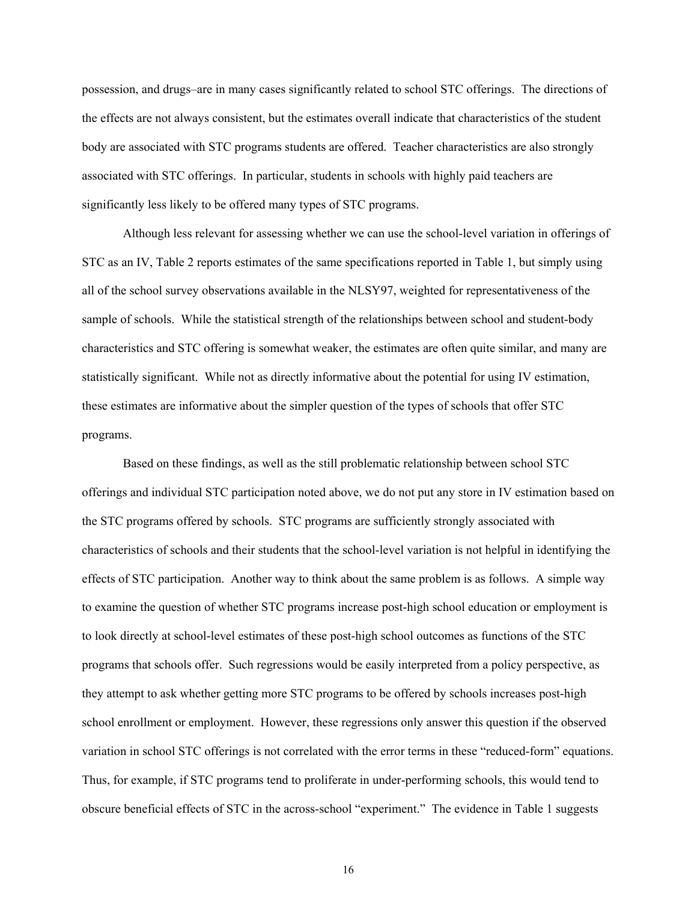possession, and drugs–are in many cases significantly related to school STC offerings. The directions of the effects are not always consistent, but the estimates overall indicate that characteristics of the student body are associated with STC programs students are offered. Teacher characteristics are also strongly associated with STC offerings. In particular, students in schools with highly paid teachers are significantly less likely to be offered many types of STC programs.

Although less relevant for assessing whether we can use the school-level variation in offerings of STC as an IV, Table 2 reports estimates of the same specifications reported in Table 1, but simply using all of the school survey observations available in the NLSY97, weighted for representativeness of the sample of schools. While the statistical strength of the relationships between school and student-body characteristics and STC offering is somewhat weaker, the estimates are often quite similar, and many are statistically significant. While not as directly informative about the potential for using IV estimation, these estimates are informative about the simpler question of the types of schools that offer STC programs.

Based on these findings, as well as the still problematic relationship between school STC offerings and individual STC participation noted above, we do not put any store in IV estimation based on the STC programs offered by schools. STC programs are sufficiently strongly associated with characteristics of schools and their students that the school-level variation is not helpful in identifying the effects of STC participation. Another way to think about the same problem is as follows. A simple way to examine the question of whether STC programs increase post-high school education or employment is to look directly at school-level estimates of these post-high school outcomes as functions of the STC programs that schools offer. Such regressions would be easily interpreted from a policy perspective, as they attempt to ask whether getting more STC programs to be offered by schools increases post-high school enrollment or employment. However, these regressions only answer this question if the observed variation in school STC offerings is not correlated with the error terms in these "reduced-form" equations. Thus, for example, if STC programs tend to proliferate in under-performing schools, this would tend to obscure beneficial effects of STC in the across-school "experiment." The evidence in Table 1 suggests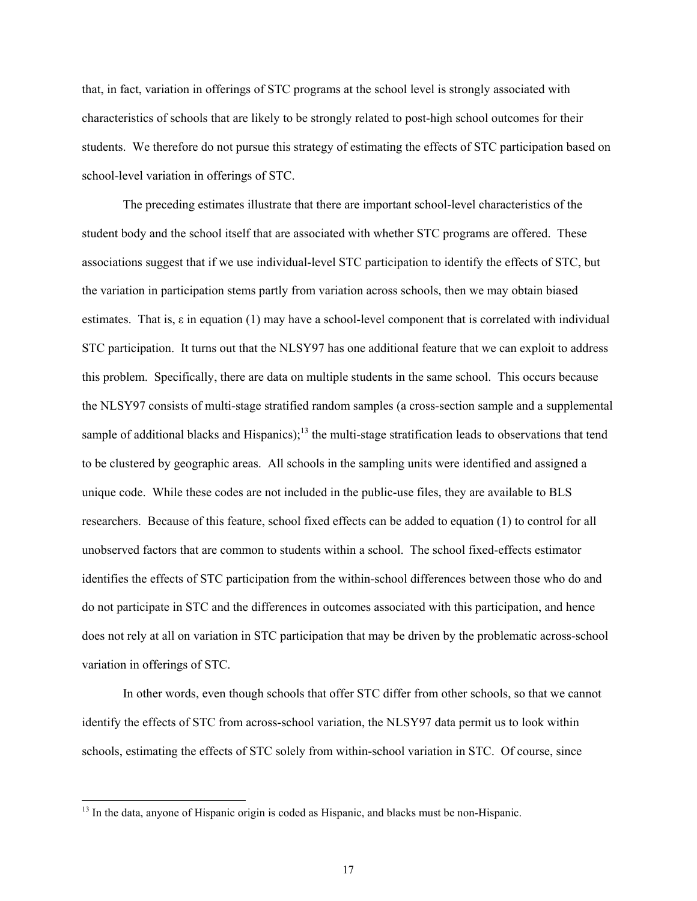that, in fact, variation in offerings of STC programs at the school level is strongly associated with characteristics of schools that are likely to be strongly related to post-high school outcomes for their students. We therefore do not pursue this strategy of estimating the effects of STC participation based on school-level variation in offerings of STC.

The preceding estimates illustrate that there are important school-level characteristics of the student body and the school itself that are associated with whether STC programs are offered. These associations suggest that if we use individual-level STC participation to identify the effects of STC, but the variation in participation stems partly from variation across schools, then we may obtain biased estimates. That is, ε in equation (1) may have a school-level component that is correlated with individual STC participation. It turns out that the NLSY97 has one additional feature that we can exploit to address this problem. Specifically, there are data on multiple students in the same school. This occurs because the NLSY97 consists of multi-stage stratified random samples (a cross-section sample and a supplemental sample of additional blacks and Hispanics);<sup>13</sup> the multi-stage stratification leads to observations that tend to be clustered by geographic areas. All schools in the sampling units were identified and assigned a unique code. While these codes are not included in the public-use files, they are available to BLS researchers. Because of this feature, school fixed effects can be added to equation (1) to control for all unobserved factors that are common to students within a school. The school fixed-effects estimator identifies the effects of STC participation from the within-school differences between those who do and do not participate in STC and the differences in outcomes associated with this participation, and hence does not rely at all on variation in STC participation that may be driven by the problematic across-school variation in offerings of STC.

In other words, even though schools that offer STC differ from other schools, so that we cannot identify the effects of STC from across-school variation, the NLSY97 data permit us to look within schools, estimating the effects of STC solely from within-school variation in STC. Of course, since

<sup>&</sup>lt;sup>13</sup> In the data, anyone of Hispanic origin is coded as Hispanic, and blacks must be non-Hispanic.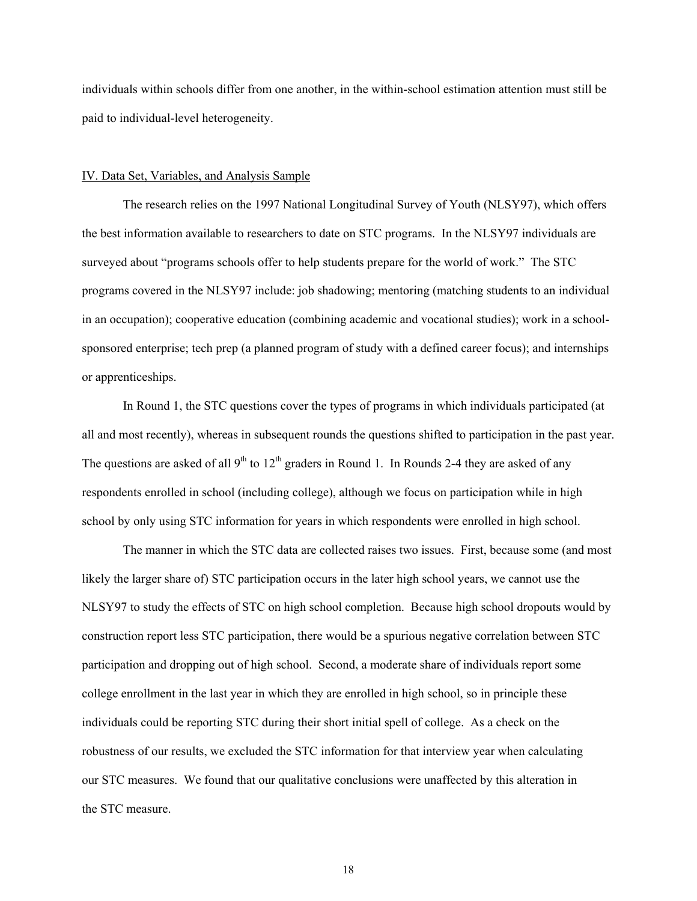individuals within schools differ from one another, in the within-school estimation attention must still be paid to individual-level heterogeneity.

## IV. Data Set, Variables, and Analysis Sample

The research relies on the 1997 National Longitudinal Survey of Youth (NLSY97), which offers the best information available to researchers to date on STC programs. In the NLSY97 individuals are surveyed about "programs schools offer to help students prepare for the world of work." The STC programs covered in the NLSY97 include: job shadowing; mentoring (matching students to an individual in an occupation); cooperative education (combining academic and vocational studies); work in a schoolsponsored enterprise; tech prep (a planned program of study with a defined career focus); and internships or apprenticeships.

In Round 1, the STC questions cover the types of programs in which individuals participated (at all and most recently), whereas in subsequent rounds the questions shifted to participation in the past year. The questions are asked of all  $9<sup>th</sup>$  to  $12<sup>th</sup>$  graders in Round 1. In Rounds 2-4 they are asked of any respondents enrolled in school (including college), although we focus on participation while in high school by only using STC information for years in which respondents were enrolled in high school.

The manner in which the STC data are collected raises two issues. First, because some (and most likely the larger share of) STC participation occurs in the later high school years, we cannot use the NLSY97 to study the effects of STC on high school completion. Because high school dropouts would by construction report less STC participation, there would be a spurious negative correlation between STC participation and dropping out of high school. Second, a moderate share of individuals report some college enrollment in the last year in which they are enrolled in high school, so in principle these individuals could be reporting STC during their short initial spell of college. As a check on the robustness of our results, we excluded the STC information for that interview year when calculating our STC measures. We found that our qualitative conclusions were unaffected by this alteration in the STC measure.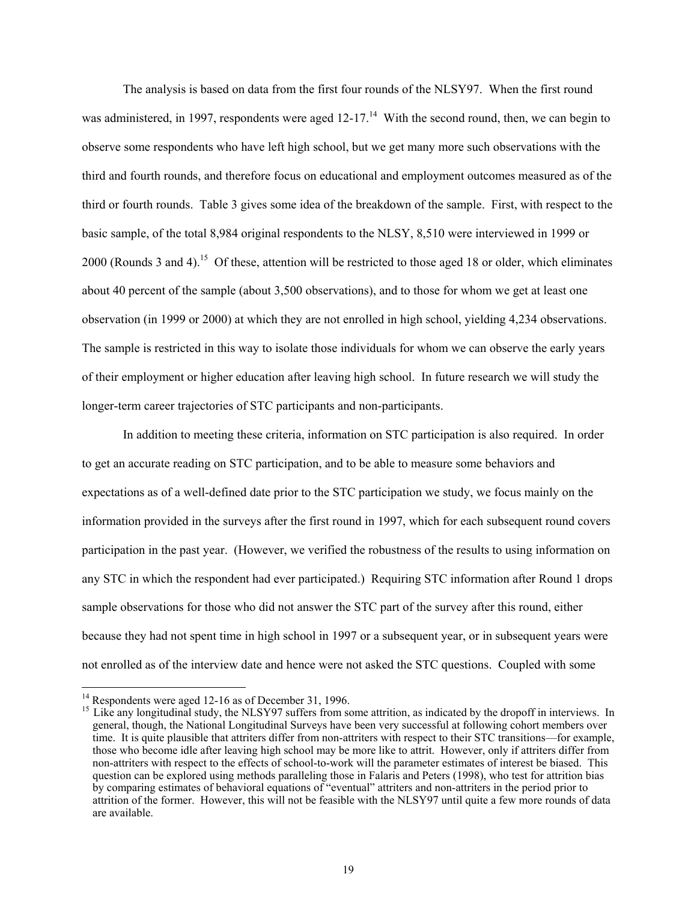The analysis is based on data from the first four rounds of the NLSY97. When the first round was administered, in 1997, respondents were aged  $12-17<sup>14</sup>$  With the second round, then, we can begin to observe some respondents who have left high school, but we get many more such observations with the third and fourth rounds, and therefore focus on educational and employment outcomes measured as of the third or fourth rounds. Table 3 gives some idea of the breakdown of the sample. First, with respect to the basic sample, of the total 8,984 original respondents to the NLSY, 8,510 were interviewed in 1999 or 2000 (Rounds 3 and 4).<sup>15</sup> Of these, attention will be restricted to those aged 18 or older, which eliminates about 40 percent of the sample (about 3,500 observations), and to those for whom we get at least one observation (in 1999 or 2000) at which they are not enrolled in high school, yielding 4,234 observations. The sample is restricted in this way to isolate those individuals for whom we can observe the early years of their employment or higher education after leaving high school. In future research we will study the longer-term career trajectories of STC participants and non-participants.

In addition to meeting these criteria, information on STC participation is also required. In order to get an accurate reading on STC participation, and to be able to measure some behaviors and expectations as of a well-defined date prior to the STC participation we study, we focus mainly on the information provided in the surveys after the first round in 1997, which for each subsequent round covers participation in the past year. (However, we verified the robustness of the results to using information on any STC in which the respondent had ever participated.) Requiring STC information after Round 1 drops sample observations for those who did not answer the STC part of the survey after this round, either because they had not spent time in high school in 1997 or a subsequent year, or in subsequent years were not enrolled as of the interview date and hence were not asked the STC questions. Coupled with some

 $14$  Respondents were aged 12-16 as of December 31, 1996.

<sup>&</sup>lt;sup>15</sup> Like any longitudinal study, the NLSY97 suffers from some attrition, as indicated by the dropoff in interviews. In general, though, the National Longitudinal Surveys have been very successful at following cohort members over time. It is quite plausible that attriters differ from non-attriters with respect to their STC transitions—for example, those who become idle after leaving high school may be more like to attrit. However, only if attriters differ from non-attriters with respect to the effects of school-to-work will the parameter estimates of interest be biased. This question can be explored using methods paralleling those in Falaris and Peters (1998), who test for attrition bias by comparing estimates of behavioral equations of "eventual" attriters and non-attriters in the period prior to attrition of the former. However, this will not be feasible with the NLSY97 until quite a few more rounds of data are available.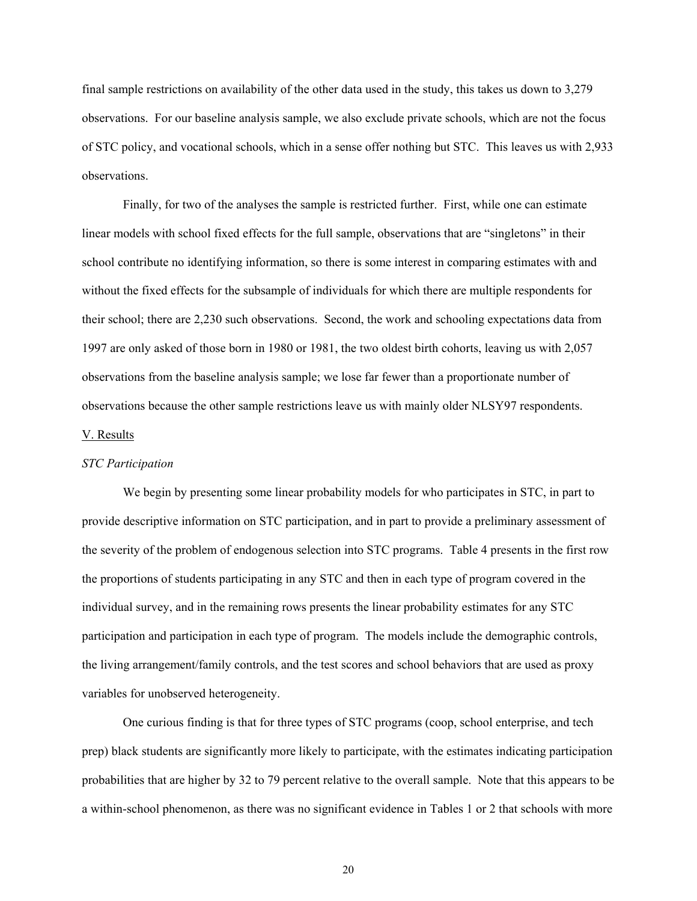final sample restrictions on availability of the other data used in the study, this takes us down to 3,279 observations. For our baseline analysis sample, we also exclude private schools, which are not the focus of STC policy, and vocational schools, which in a sense offer nothing but STC. This leaves us with 2,933 observations.

Finally, for two of the analyses the sample is restricted further. First, while one can estimate linear models with school fixed effects for the full sample, observations that are "singletons" in their school contribute no identifying information, so there is some interest in comparing estimates with and without the fixed effects for the subsample of individuals for which there are multiple respondents for their school; there are 2,230 such observations. Second, the work and schooling expectations data from 1997 are only asked of those born in 1980 or 1981, the two oldest birth cohorts, leaving us with 2,057 observations from the baseline analysis sample; we lose far fewer than a proportionate number of observations because the other sample restrictions leave us with mainly older NLSY97 respondents.

#### V. Results

#### *STC Participation*

We begin by presenting some linear probability models for who participates in STC, in part to provide descriptive information on STC participation, and in part to provide a preliminary assessment of the severity of the problem of endogenous selection into STC programs. Table 4 presents in the first row the proportions of students participating in any STC and then in each type of program covered in the individual survey, and in the remaining rows presents the linear probability estimates for any STC participation and participation in each type of program. The models include the demographic controls, the living arrangement/family controls, and the test scores and school behaviors that are used as proxy variables for unobserved heterogeneity.

One curious finding is that for three types of STC programs (coop, school enterprise, and tech prep) black students are significantly more likely to participate, with the estimates indicating participation probabilities that are higher by 32 to 79 percent relative to the overall sample. Note that this appears to be a within-school phenomenon, as there was no significant evidence in Tables 1 or 2 that schools with more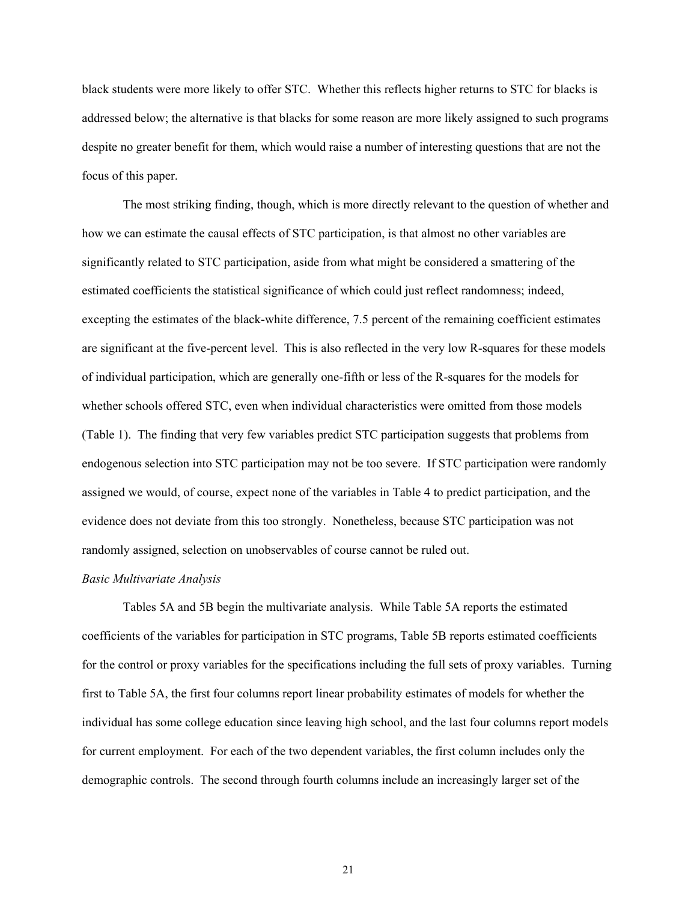black students were more likely to offer STC. Whether this reflects higher returns to STC for blacks is addressed below; the alternative is that blacks for some reason are more likely assigned to such programs despite no greater benefit for them, which would raise a number of interesting questions that are not the focus of this paper.

The most striking finding, though, which is more directly relevant to the question of whether and how we can estimate the causal effects of STC participation, is that almost no other variables are significantly related to STC participation, aside from what might be considered a smattering of the estimated coefficients the statistical significance of which could just reflect randomness; indeed, excepting the estimates of the black-white difference, 7.5 percent of the remaining coefficient estimates are significant at the five-percent level. This is also reflected in the very low R-squares for these models of individual participation, which are generally one-fifth or less of the R-squares for the models for whether schools offered STC, even when individual characteristics were omitted from those models (Table 1). The finding that very few variables predict STC participation suggests that problems from endogenous selection into STC participation may not be too severe. If STC participation were randomly assigned we would, of course, expect none of the variables in Table 4 to predict participation, and the evidence does not deviate from this too strongly. Nonetheless, because STC participation was not randomly assigned, selection on unobservables of course cannot be ruled out.

### *Basic Multivariate Analysis*

Tables 5A and 5B begin the multivariate analysis. While Table 5A reports the estimated coefficients of the variables for participation in STC programs, Table 5B reports estimated coefficients for the control or proxy variables for the specifications including the full sets of proxy variables. Turning first to Table 5A, the first four columns report linear probability estimates of models for whether the individual has some college education since leaving high school, and the last four columns report models for current employment. For each of the two dependent variables, the first column includes only the demographic controls. The second through fourth columns include an increasingly larger set of the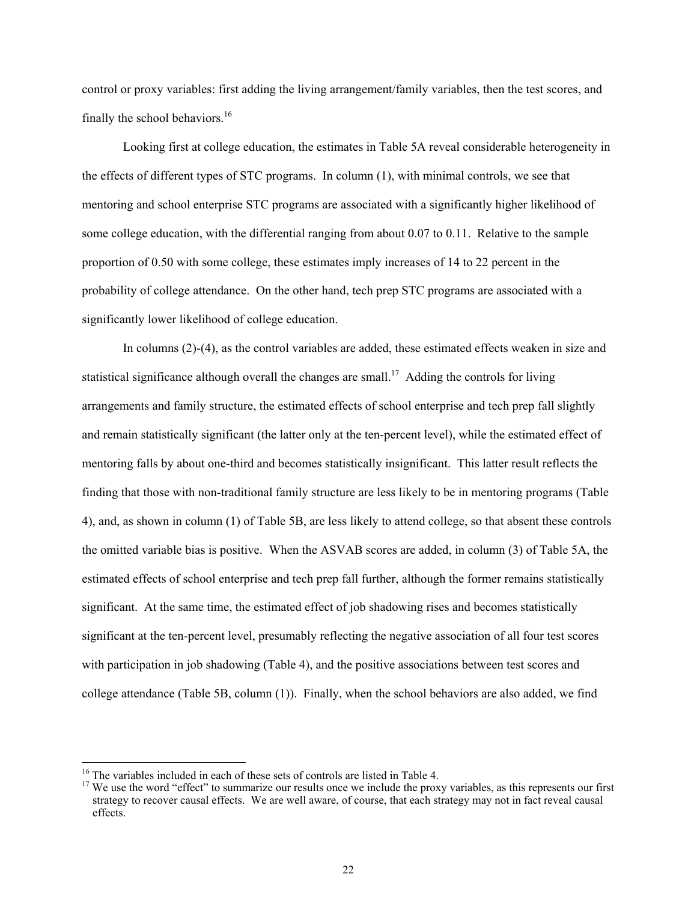control or proxy variables: first adding the living arrangement/family variables, then the test scores, and finally the school behaviors. $16$ 

Looking first at college education, the estimates in Table 5A reveal considerable heterogeneity in the effects of different types of STC programs. In column (1), with minimal controls, we see that mentoring and school enterprise STC programs are associated with a significantly higher likelihood of some college education, with the differential ranging from about 0.07 to 0.11. Relative to the sample proportion of 0.50 with some college, these estimates imply increases of 14 to 22 percent in the probability of college attendance. On the other hand, tech prep STC programs are associated with a significantly lower likelihood of college education.

In columns (2)-(4), as the control variables are added, these estimated effects weaken in size and statistical significance although overall the changes are small.<sup>17</sup> Adding the controls for living arrangements and family structure, the estimated effects of school enterprise and tech prep fall slightly and remain statistically significant (the latter only at the ten-percent level), while the estimated effect of mentoring falls by about one-third and becomes statistically insignificant. This latter result reflects the finding that those with non-traditional family structure are less likely to be in mentoring programs (Table 4), and, as shown in column (1) of Table 5B, are less likely to attend college, so that absent these controls the omitted variable bias is positive. When the ASVAB scores are added, in column (3) of Table 5A, the estimated effects of school enterprise and tech prep fall further, although the former remains statistically significant. At the same time, the estimated effect of job shadowing rises and becomes statistically significant at the ten-percent level, presumably reflecting the negative association of all four test scores with participation in job shadowing (Table 4), and the positive associations between test scores and college attendance (Table 5B, column (1)). Finally, when the school behaviors are also added, we find

<sup>&</sup>lt;sup>16</sup> The variables included in each of these sets of controls are listed in Table 4.<br><sup>17</sup> We use the word "effect" to summarize our results once we include the proxy variables, as this represents our first strategy to recover causal effects. We are well aware, of course, that each strategy may not in fact reveal causal effects.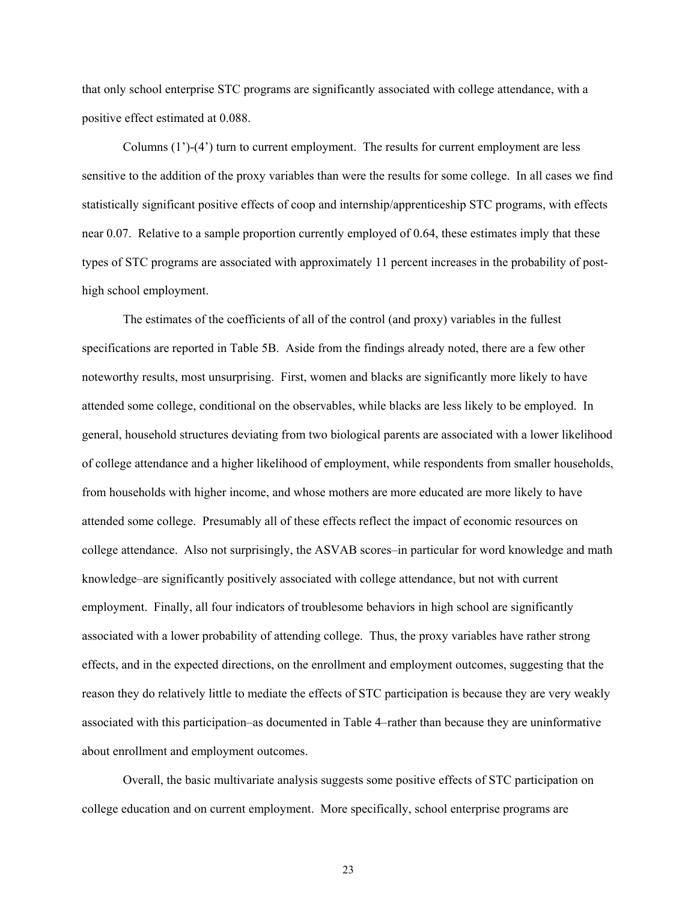that only school enterprise STC programs are significantly associated with college attendance, with a positive effect estimated at 0.088.

Columns  $(1')$ - $(4')$  turn to current employment. The results for current employment are less sensitive to the addition of the proxy variables than were the results for some college. In all cases we find statistically significant positive effects of coop and internship/apprenticeship STC programs, with effects near 0.07. Relative to a sample proportion currently employed of 0.64, these estimates imply that these types of STC programs are associated with approximately 11 percent increases in the probability of posthigh school employment.

The estimates of the coefficients of all of the control (and proxy) variables in the fullest specifications are reported in Table 5B. Aside from the findings already noted, there are a few other noteworthy results, most unsurprising. First, women and blacks are significantly more likely to have attended some college, conditional on the observables, while blacks are less likely to be employed. In general, household structures deviating from two biological parents are associated with a lower likelihood of college attendance and a higher likelihood of employment, while respondents from smaller households, from households with higher income, and whose mothers are more educated are more likely to have attended some college. Presumably all of these effects reflect the impact of economic resources on college attendance. Also not surprisingly, the ASVAB scores–in particular for word knowledge and math knowledge–are significantly positively associated with college attendance, but not with current employment. Finally, all four indicators of troublesome behaviors in high school are significantly associated with a lower probability of attending college. Thus, the proxy variables have rather strong effects, and in the expected directions, on the enrollment and employment outcomes, suggesting that the reason they do relatively little to mediate the effects of STC participation is because they are very weakly associated with this participation–as documented in Table 4–rather than because they are uninformative about enrollment and employment outcomes.

Overall, the basic multivariate analysis suggests some positive effects of STC participation on college education and on current employment. More specifically, school enterprise programs are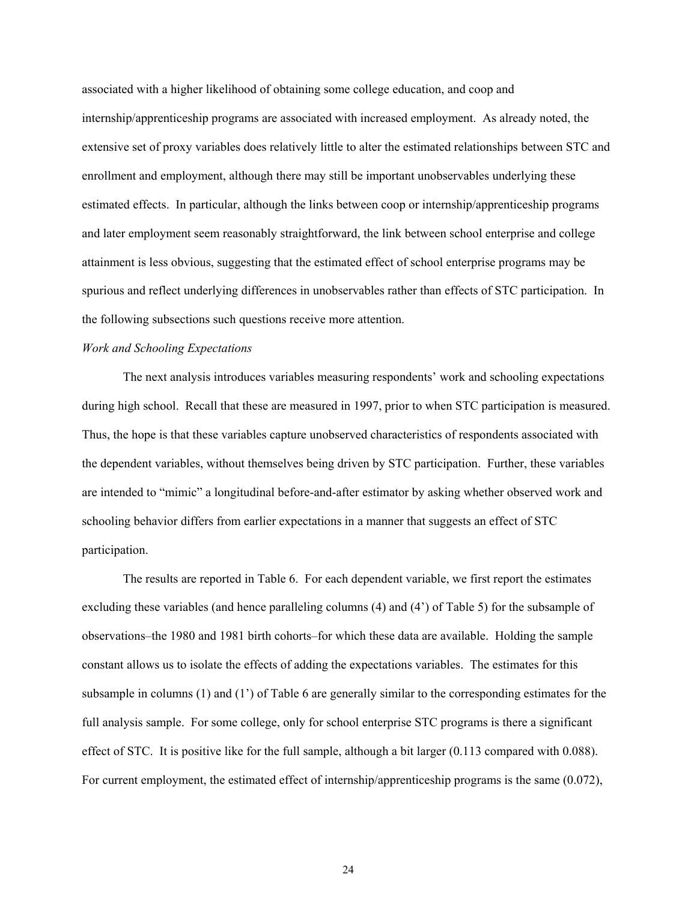associated with a higher likelihood of obtaining some college education, and coop and internship/apprenticeship programs are associated with increased employment. As already noted, the extensive set of proxy variables does relatively little to alter the estimated relationships between STC and enrollment and employment, although there may still be important unobservables underlying these estimated effects. In particular, although the links between coop or internship/apprenticeship programs and later employment seem reasonably straightforward, the link between school enterprise and college attainment is less obvious, suggesting that the estimated effect of school enterprise programs may be spurious and reflect underlying differences in unobservables rather than effects of STC participation. In the following subsections such questions receive more attention.

### *Work and Schooling Expectations*

The next analysis introduces variables measuring respondents' work and schooling expectations during high school. Recall that these are measured in 1997, prior to when STC participation is measured. Thus, the hope is that these variables capture unobserved characteristics of respondents associated with the dependent variables, without themselves being driven by STC participation. Further, these variables are intended to "mimic" a longitudinal before-and-after estimator by asking whether observed work and schooling behavior differs from earlier expectations in a manner that suggests an effect of STC participation.

The results are reported in Table 6. For each dependent variable, we first report the estimates excluding these variables (and hence paralleling columns (4) and (4') of Table 5) for the subsample of observations–the 1980 and 1981 birth cohorts–for which these data are available. Holding the sample constant allows us to isolate the effects of adding the expectations variables. The estimates for this subsample in columns (1) and (1') of Table 6 are generally similar to the corresponding estimates for the full analysis sample. For some college, only for school enterprise STC programs is there a significant effect of STC. It is positive like for the full sample, although a bit larger (0.113 compared with 0.088). For current employment, the estimated effect of internship/apprenticeship programs is the same (0.072),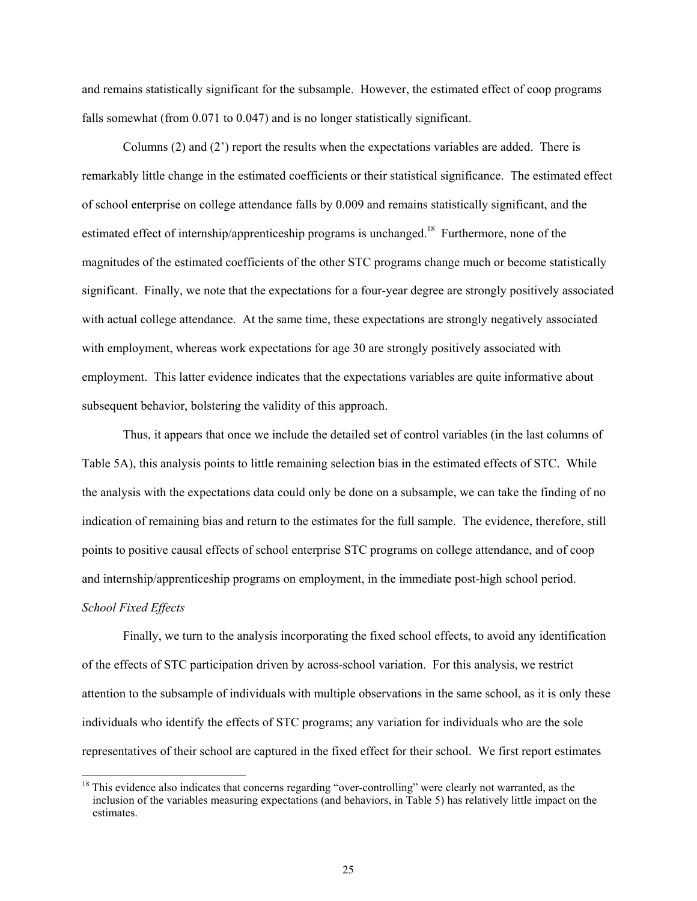and remains statistically significant for the subsample. However, the estimated effect of coop programs falls somewhat (from 0.071 to 0.047) and is no longer statistically significant.

Columns (2) and (2') report the results when the expectations variables are added. There is remarkably little change in the estimated coefficients or their statistical significance. The estimated effect of school enterprise on college attendance falls by 0.009 and remains statistically significant, and the estimated effect of internship/apprenticeship programs is unchanged.<sup>18</sup> Furthermore, none of the magnitudes of the estimated coefficients of the other STC programs change much or become statistically significant. Finally, we note that the expectations for a four-year degree are strongly positively associated with actual college attendance. At the same time, these expectations are strongly negatively associated with employment, whereas work expectations for age 30 are strongly positively associated with employment. This latter evidence indicates that the expectations variables are quite informative about subsequent behavior, bolstering the validity of this approach.

Thus, it appears that once we include the detailed set of control variables (in the last columns of Table 5A), this analysis points to little remaining selection bias in the estimated effects of STC. While the analysis with the expectations data could only be done on a subsample, we can take the finding of no indication of remaining bias and return to the estimates for the full sample. The evidence, therefore, still points to positive causal effects of school enterprise STC programs on college attendance, and of coop and internship/apprenticeship programs on employment, in the immediate post-high school period.

# *School Fixed Effects*

 $\overline{a}$ 

Finally, we turn to the analysis incorporating the fixed school effects, to avoid any identification of the effects of STC participation driven by across-school variation. For this analysis, we restrict attention to the subsample of individuals with multiple observations in the same school, as it is only these individuals who identify the effects of STC programs; any variation for individuals who are the sole representatives of their school are captured in the fixed effect for their school. We first report estimates

<sup>&</sup>lt;sup>18</sup> This evidence also indicates that concerns regarding "over-controlling" were clearly not warranted, as the inclusion of the variables measuring expectations (and behaviors, in Table 5) has relatively little impact on the estimates.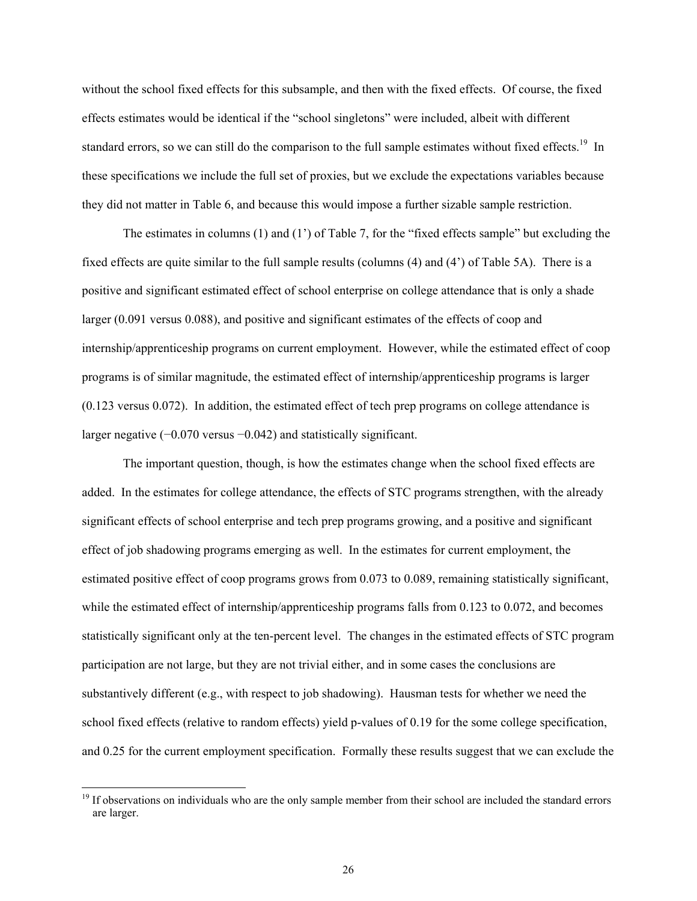without the school fixed effects for this subsample, and then with the fixed effects. Of course, the fixed effects estimates would be identical if the "school singletons" were included, albeit with different standard errors, so we can still do the comparison to the full sample estimates without fixed effects.<sup>19</sup> In these specifications we include the full set of proxies, but we exclude the expectations variables because they did not matter in Table 6, and because this would impose a further sizable sample restriction.

The estimates in columns (1) and (1') of Table 7, for the "fixed effects sample" but excluding the fixed effects are quite similar to the full sample results (columns (4) and (4') of Table 5A). There is a positive and significant estimated effect of school enterprise on college attendance that is only a shade larger (0.091 versus 0.088), and positive and significant estimates of the effects of coop and internship/apprenticeship programs on current employment. However, while the estimated effect of coop programs is of similar magnitude, the estimated effect of internship/apprenticeship programs is larger (0.123 versus 0.072). In addition, the estimated effect of tech prep programs on college attendance is larger negative (−0.070 versus −0.042) and statistically significant.

The important question, though, is how the estimates change when the school fixed effects are added. In the estimates for college attendance, the effects of STC programs strengthen, with the already significant effects of school enterprise and tech prep programs growing, and a positive and significant effect of job shadowing programs emerging as well. In the estimates for current employment, the estimated positive effect of coop programs grows from 0.073 to 0.089, remaining statistically significant, while the estimated effect of internship/apprenticeship programs falls from 0.123 to 0.072, and becomes statistically significant only at the ten-percent level. The changes in the estimated effects of STC program participation are not large, but they are not trivial either, and in some cases the conclusions are substantively different (e.g., with respect to job shadowing). Hausman tests for whether we need the school fixed effects (relative to random effects) yield p-values of 0.19 for the some college specification, and 0.25 for the current employment specification. Formally these results suggest that we can exclude the

<sup>&</sup>lt;sup>19</sup> If observations on individuals who are the only sample member from their school are included the standard errors are larger.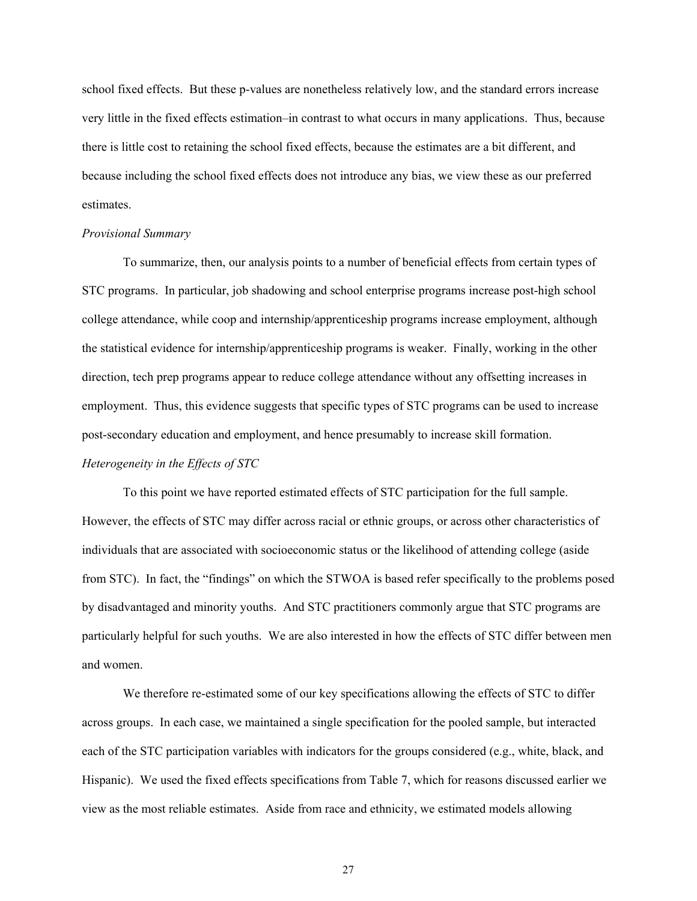school fixed effects. But these p-values are nonetheless relatively low, and the standard errors increase very little in the fixed effects estimation–in contrast to what occurs in many applications. Thus, because there is little cost to retaining the school fixed effects, because the estimates are a bit different, and because including the school fixed effects does not introduce any bias, we view these as our preferred estimates.

#### *Provisional Summary*

To summarize, then, our analysis points to a number of beneficial effects from certain types of STC programs. In particular, job shadowing and school enterprise programs increase post-high school college attendance, while coop and internship/apprenticeship programs increase employment, although the statistical evidence for internship/apprenticeship programs is weaker. Finally, working in the other direction, tech prep programs appear to reduce college attendance without any offsetting increases in employment. Thus, this evidence suggests that specific types of STC programs can be used to increase post-secondary education and employment, and hence presumably to increase skill formation.

# *Heterogeneity in the Effects of STC*

To this point we have reported estimated effects of STC participation for the full sample. However, the effects of STC may differ across racial or ethnic groups, or across other characteristics of individuals that are associated with socioeconomic status or the likelihood of attending college (aside from STC). In fact, the "findings" on which the STWOA is based refer specifically to the problems posed by disadvantaged and minority youths. And STC practitioners commonly argue that STC programs are particularly helpful for such youths. We are also interested in how the effects of STC differ between men and women.

We therefore re-estimated some of our key specifications allowing the effects of STC to differ across groups. In each case, we maintained a single specification for the pooled sample, but interacted each of the STC participation variables with indicators for the groups considered (e.g., white, black, and Hispanic). We used the fixed effects specifications from Table 7, which for reasons discussed earlier we view as the most reliable estimates. Aside from race and ethnicity, we estimated models allowing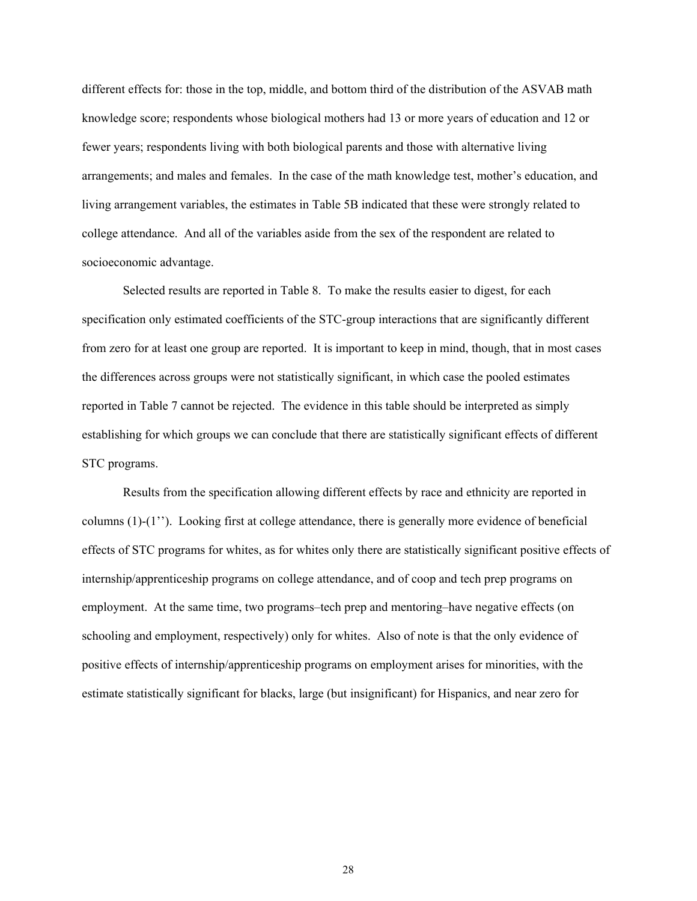different effects for: those in the top, middle, and bottom third of the distribution of the ASVAB math knowledge score; respondents whose biological mothers had 13 or more years of education and 12 or fewer years; respondents living with both biological parents and those with alternative living arrangements; and males and females. In the case of the math knowledge test, mother's education, and living arrangement variables, the estimates in Table 5B indicated that these were strongly related to college attendance. And all of the variables aside from the sex of the respondent are related to socioeconomic advantage.

Selected results are reported in Table 8. To make the results easier to digest, for each specification only estimated coefficients of the STC-group interactions that are significantly different from zero for at least one group are reported. It is important to keep in mind, though, that in most cases the differences across groups were not statistically significant, in which case the pooled estimates reported in Table 7 cannot be rejected. The evidence in this table should be interpreted as simply establishing for which groups we can conclude that there are statistically significant effects of different STC programs.

Results from the specification allowing different effects by race and ethnicity are reported in columns (1)-(1''). Looking first at college attendance, there is generally more evidence of beneficial effects of STC programs for whites, as for whites only there are statistically significant positive effects of internship/apprenticeship programs on college attendance, and of coop and tech prep programs on employment. At the same time, two programs–tech prep and mentoring–have negative effects (on schooling and employment, respectively) only for whites. Also of note is that the only evidence of positive effects of internship/apprenticeship programs on employment arises for minorities, with the estimate statistically significant for blacks, large (but insignificant) for Hispanics, and near zero for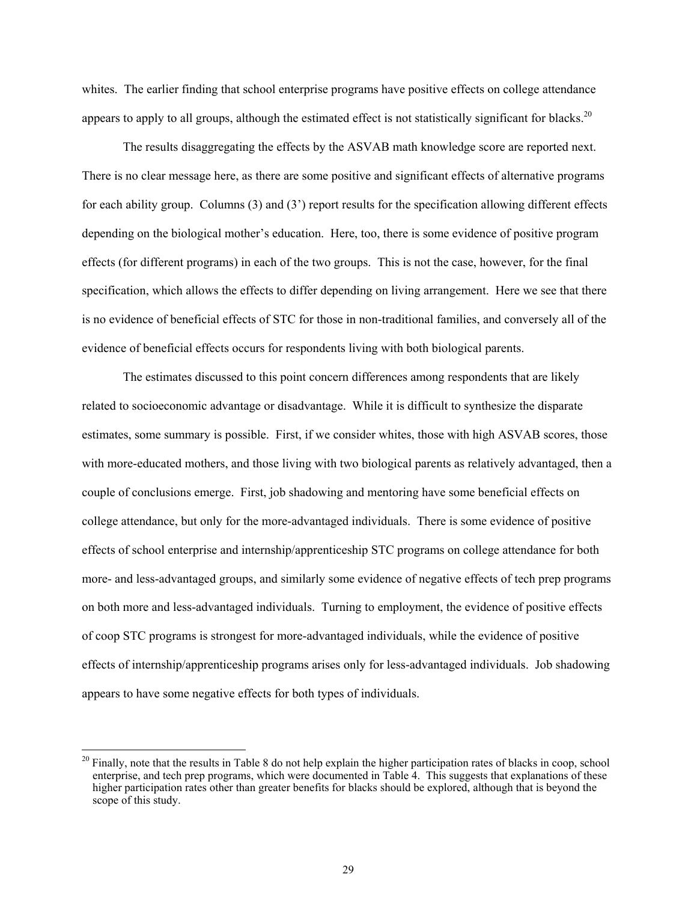whites. The earlier finding that school enterprise programs have positive effects on college attendance appears to apply to all groups, although the estimated effect is not statistically significant for blacks.<sup>20</sup>

The results disaggregating the effects by the ASVAB math knowledge score are reported next. There is no clear message here, as there are some positive and significant effects of alternative programs for each ability group. Columns (3) and (3') report results for the specification allowing different effects depending on the biological mother's education. Here, too, there is some evidence of positive program effects (for different programs) in each of the two groups. This is not the case, however, for the final specification, which allows the effects to differ depending on living arrangement. Here we see that there is no evidence of beneficial effects of STC for those in non-traditional families, and conversely all of the evidence of beneficial effects occurs for respondents living with both biological parents.

The estimates discussed to this point concern differences among respondents that are likely related to socioeconomic advantage or disadvantage. While it is difficult to synthesize the disparate estimates, some summary is possible. First, if we consider whites, those with high ASVAB scores, those with more-educated mothers, and those living with two biological parents as relatively advantaged, then a couple of conclusions emerge. First, job shadowing and mentoring have some beneficial effects on college attendance, but only for the more-advantaged individuals. There is some evidence of positive effects of school enterprise and internship/apprenticeship STC programs on college attendance for both more- and less-advantaged groups, and similarly some evidence of negative effects of tech prep programs on both more and less-advantaged individuals. Turning to employment, the evidence of positive effects of coop STC programs is strongest for more-advantaged individuals, while the evidence of positive effects of internship/apprenticeship programs arises only for less-advantaged individuals. Job shadowing appears to have some negative effects for both types of individuals.

 $^{20}$  Finally, note that the results in Table 8 do not help explain the higher participation rates of blacks in coop, school enterprise, and tech prep programs, which were documented in Table 4. This suggests that explanations of these higher participation rates other than greater benefits for blacks should be explored, although that is beyond the scope of this study.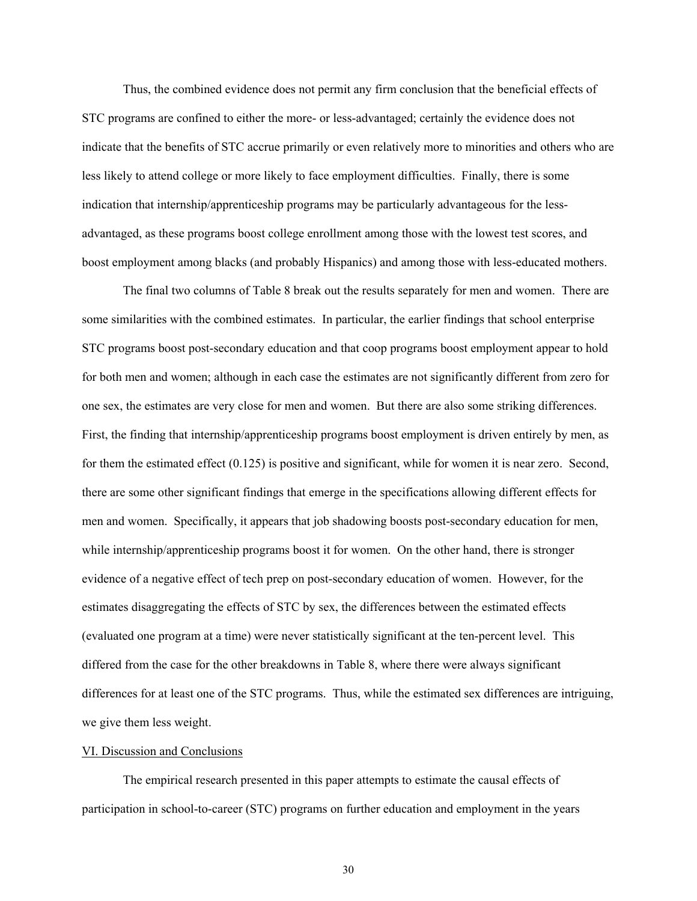Thus, the combined evidence does not permit any firm conclusion that the beneficial effects of STC programs are confined to either the more- or less-advantaged; certainly the evidence does not indicate that the benefits of STC accrue primarily or even relatively more to minorities and others who are less likely to attend college or more likely to face employment difficulties. Finally, there is some indication that internship/apprenticeship programs may be particularly advantageous for the lessadvantaged, as these programs boost college enrollment among those with the lowest test scores, and boost employment among blacks (and probably Hispanics) and among those with less-educated mothers.

The final two columns of Table 8 break out the results separately for men and women. There are some similarities with the combined estimates. In particular, the earlier findings that school enterprise STC programs boost post-secondary education and that coop programs boost employment appear to hold for both men and women; although in each case the estimates are not significantly different from zero for one sex, the estimates are very close for men and women. But there are also some striking differences. First, the finding that internship/apprenticeship programs boost employment is driven entirely by men, as for them the estimated effect (0.125) is positive and significant, while for women it is near zero. Second, there are some other significant findings that emerge in the specifications allowing different effects for men and women. Specifically, it appears that job shadowing boosts post-secondary education for men, while internship/apprenticeship programs boost it for women. On the other hand, there is stronger evidence of a negative effect of tech prep on post-secondary education of women. However, for the estimates disaggregating the effects of STC by sex, the differences between the estimated effects (evaluated one program at a time) were never statistically significant at the ten-percent level. This differed from the case for the other breakdowns in Table 8, where there were always significant differences for at least one of the STC programs. Thus, while the estimated sex differences are intriguing, we give them less weight.

#### VI. Discussion and Conclusions

The empirical research presented in this paper attempts to estimate the causal effects of participation in school-to-career (STC) programs on further education and employment in the years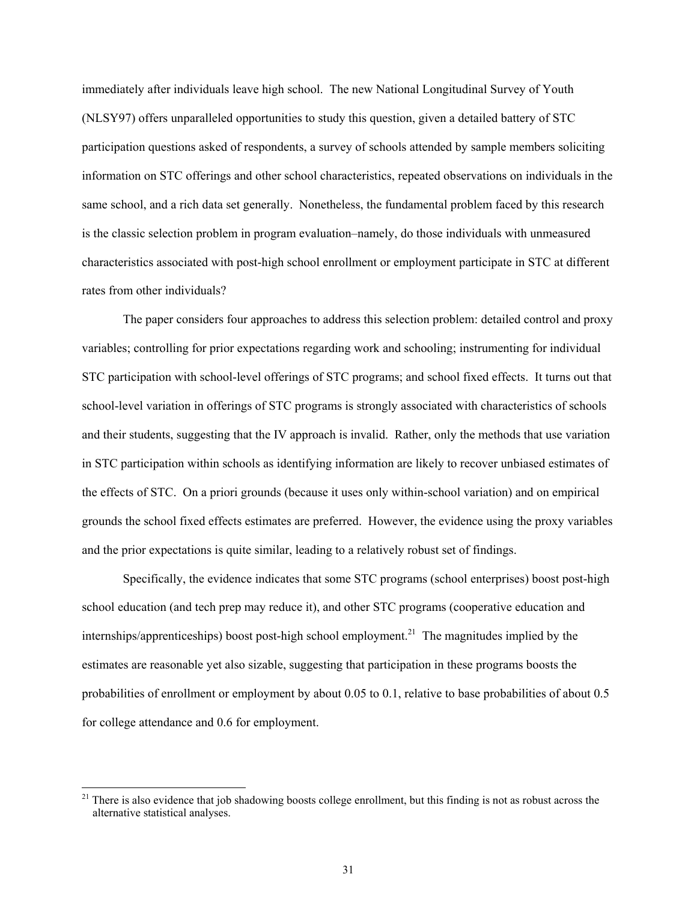immediately after individuals leave high school. The new National Longitudinal Survey of Youth (NLSY97) offers unparalleled opportunities to study this question, given a detailed battery of STC participation questions asked of respondents, a survey of schools attended by sample members soliciting information on STC offerings and other school characteristics, repeated observations on individuals in the same school, and a rich data set generally. Nonetheless, the fundamental problem faced by this research is the classic selection problem in program evaluation–namely, do those individuals with unmeasured characteristics associated with post-high school enrollment or employment participate in STC at different rates from other individuals?

The paper considers four approaches to address this selection problem: detailed control and proxy variables; controlling for prior expectations regarding work and schooling; instrumenting for individual STC participation with school-level offerings of STC programs; and school fixed effects. It turns out that school-level variation in offerings of STC programs is strongly associated with characteristics of schools and their students, suggesting that the IV approach is invalid. Rather, only the methods that use variation in STC participation within schools as identifying information are likely to recover unbiased estimates of the effects of STC. On a priori grounds (because it uses only within-school variation) and on empirical grounds the school fixed effects estimates are preferred. However, the evidence using the proxy variables and the prior expectations is quite similar, leading to a relatively robust set of findings.

Specifically, the evidence indicates that some STC programs (school enterprises) boost post-high school education (and tech prep may reduce it), and other STC programs (cooperative education and internships/apprenticeships) boost post-high school employment.<sup>21</sup> The magnitudes implied by the estimates are reasonable yet also sizable, suggesting that participation in these programs boosts the probabilities of enrollment or employment by about 0.05 to 0.1, relative to base probabilities of about 0.5 for college attendance and 0.6 for employment.

 $21$  There is also evidence that job shadowing boosts college enrollment, but this finding is not as robust across the alternative statistical analyses.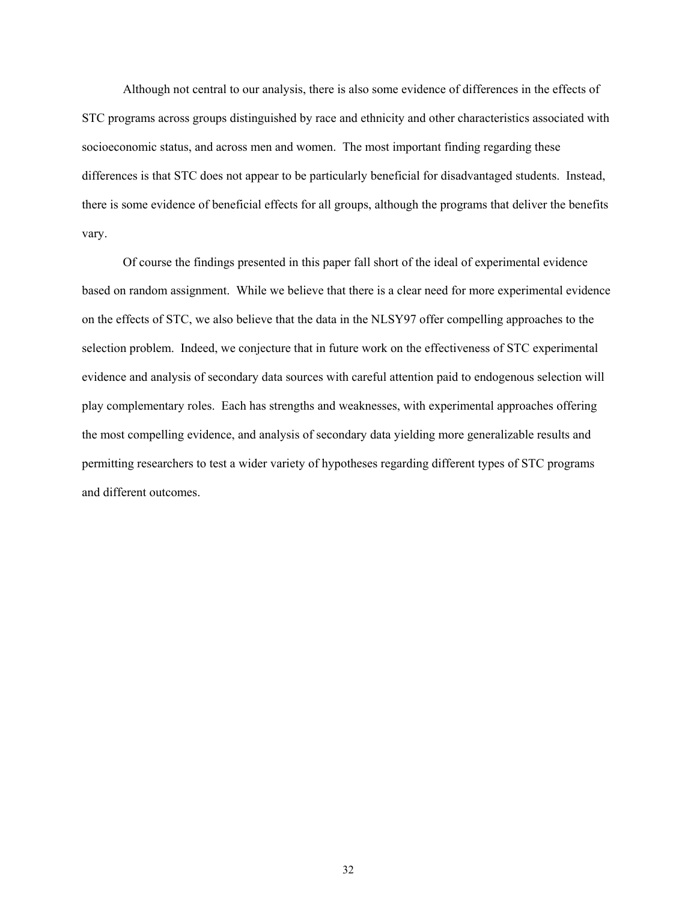Although not central to our analysis, there is also some evidence of differences in the effects of STC programs across groups distinguished by race and ethnicity and other characteristics associated with socioeconomic status, and across men and women. The most important finding regarding these differences is that STC does not appear to be particularly beneficial for disadvantaged students. Instead, there is some evidence of beneficial effects for all groups, although the programs that deliver the benefits vary.

Of course the findings presented in this paper fall short of the ideal of experimental evidence based on random assignment. While we believe that there is a clear need for more experimental evidence on the effects of STC, we also believe that the data in the NLSY97 offer compelling approaches to the selection problem. Indeed, we conjecture that in future work on the effectiveness of STC experimental evidence and analysis of secondary data sources with careful attention paid to endogenous selection will play complementary roles. Each has strengths and weaknesses, with experimental approaches offering the most compelling evidence, and analysis of secondary data yielding more generalizable results and permitting researchers to test a wider variety of hypotheses regarding different types of STC programs and different outcomes.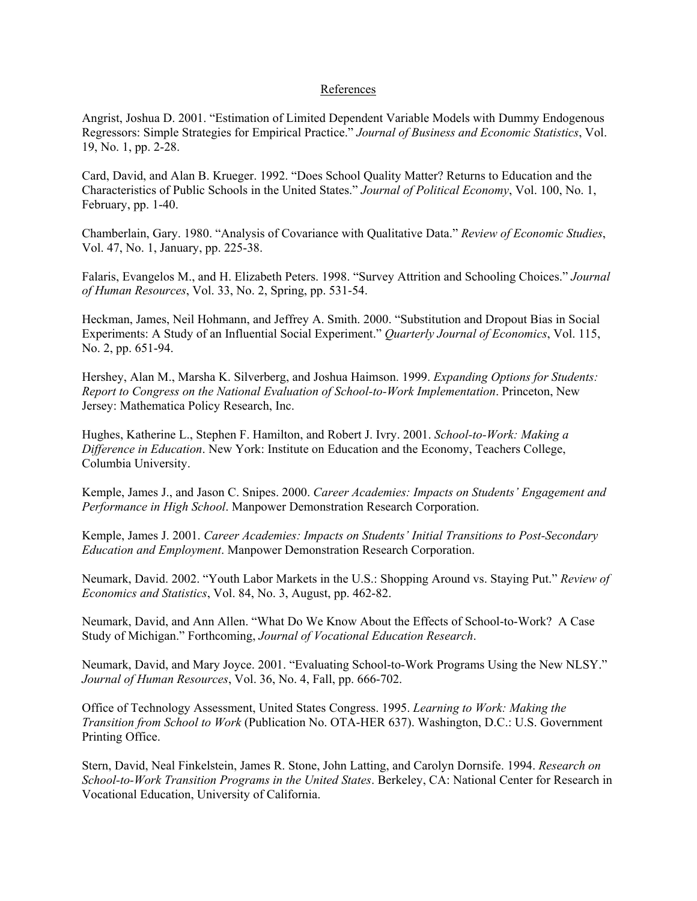### References

Angrist, Joshua D. 2001. "Estimation of Limited Dependent Variable Models with Dummy Endogenous Regressors: Simple Strategies for Empirical Practice." *Journal of Business and Economic Statistics*, Vol. 19, No. 1, pp. 2-28.

Card, David, and Alan B. Krueger. 1992. "Does School Quality Matter? Returns to Education and the Characteristics of Public Schools in the United States." *Journal of Political Economy*, Vol. 100, No. 1, February, pp. 1-40.

Chamberlain, Gary. 1980. "Analysis of Covariance with Qualitative Data." *Review of Economic Studies*, Vol. 47, No. 1, January, pp. 225-38.

Falaris, Evangelos M., and H. Elizabeth Peters. 1998. "Survey Attrition and Schooling Choices." *Journal of Human Resources*, Vol. 33, No. 2, Spring, pp. 531-54.

Heckman, James, Neil Hohmann, and Jeffrey A. Smith. 2000. "Substitution and Dropout Bias in Social Experiments: A Study of an Influential Social Experiment." *Quarterly Journal of Economics*, Vol. 115, No. 2, pp. 651-94.

Hershey, Alan M., Marsha K. Silverberg, and Joshua Haimson. 1999. *Expanding Options for Students: Report to Congress on the National Evaluation of School-to-Work Implementation*. Princeton, New Jersey: Mathematica Policy Research, Inc.

Hughes, Katherine L., Stephen F. Hamilton, and Robert J. Ivry. 2001. *School-to-Work: Making a Difference in Education*. New York: Institute on Education and the Economy, Teachers College, Columbia University.

Kemple, James J., and Jason C. Snipes. 2000. *Career Academies: Impacts on Students' Engagement and Performance in High School*. Manpower Demonstration Research Corporation.

Kemple, James J. 2001. *Career Academies: Impacts on Students' Initial Transitions to Post-Secondary Education and Employment*. Manpower Demonstration Research Corporation.

Neumark, David. 2002. "Youth Labor Markets in the U.S.: Shopping Around vs. Staying Put." *Review of Economics and Statistics*, Vol. 84, No. 3, August, pp. 462-82.

Neumark, David, and Ann Allen. "What Do We Know About the Effects of School-to-Work? A Case Study of Michigan." Forthcoming, *Journal of Vocational Education Research*.

Neumark, David, and Mary Joyce. 2001. "Evaluating School-to-Work Programs Using the New NLSY." *Journal of Human Resources*, Vol. 36, No. 4, Fall, pp. 666-702.

Office of Technology Assessment, United States Congress. 1995. *Learning to Work: Making the Transition from School to Work* (Publication No. OTA-HER 637). Washington, D.C.: U.S. Government Printing Office.

Stern, David, Neal Finkelstein, James R. Stone, John Latting, and Carolyn Dornsife. 1994. *Research on School-to-Work Transition Programs in the United States*. Berkeley, CA: National Center for Research in Vocational Education, University of California.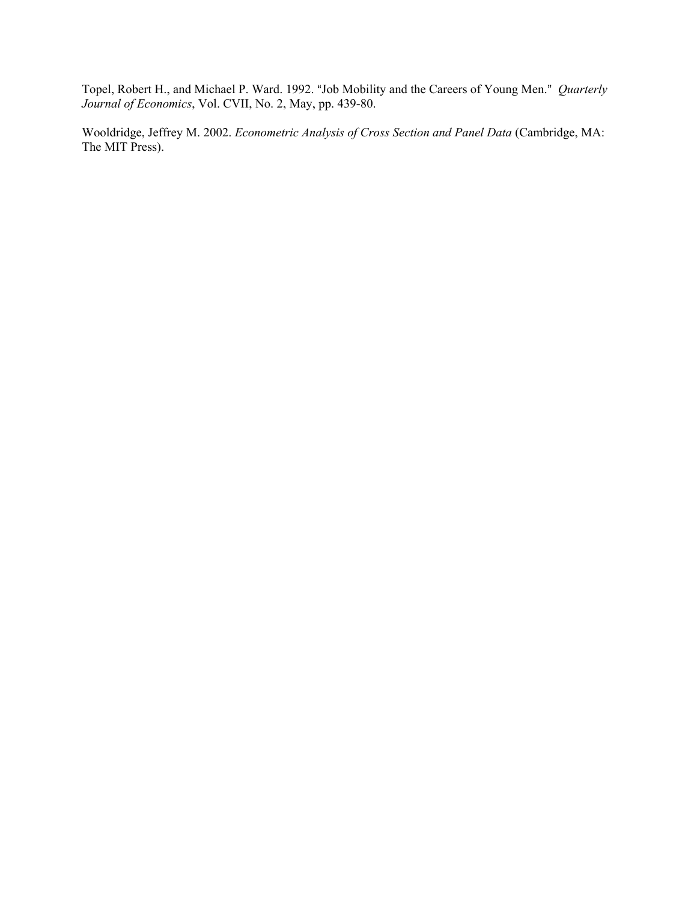Topel, Robert H., and Michael P. Ward. 1992. "Job Mobility and the Careers of Young Men." *Quarterly Journal of Economics*, Vol. CVII, No. 2, May, pp. 439-80.

Wooldridge, Jeffrey M. 2002. *Econometric Analysis of Cross Section and Panel Data* (Cambridge, MA: The MIT Press).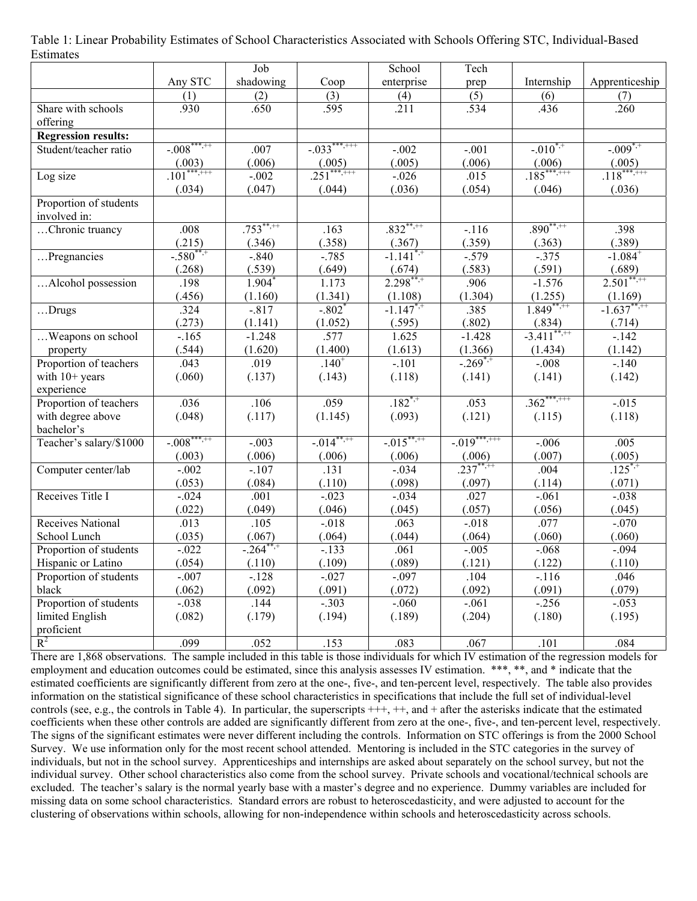| Table 1: Linear Probability Estimates of School Characteristics Associated with Schools Offering STC, Individual-Based |  |  |  |
|------------------------------------------------------------------------------------------------------------------------|--|--|--|
| Estimates                                                                                                              |  |  |  |

|                            |                | Job                  |                      | School                    | Tech           |                           |                       |
|----------------------------|----------------|----------------------|----------------------|---------------------------|----------------|---------------------------|-----------------------|
|                            | Any STC        | shadowing            | Coop                 | enterprise                | prep           | Internship                | Apprenticeship        |
|                            | (1)            | (2)                  | (3)                  | (4)                       | (5)            | (6)                       | (7)                   |
| Share with schools         | .930           | .650                 | .595                 | .211                      | .534           | .436                      | .260                  |
| offering                   |                |                      |                      |                           |                |                           |                       |
| <b>Regression results:</b> |                |                      |                      |                           |                |                           |                       |
| Student/teacher ratio      | $-0.008******$ | .007                 | $-0.033***$          | $-.002$                   | $-.001$        | $-.010^{*,+}$             | $-.009^{*,+}$         |
|                            | (.003)         | (.006)               | (.005)               | (.005)                    | (.006)         | (.006)                    | (.005)                |
| Log size                   | $.101***$      | $-.002$              | $.251***$            | $-0.026$                  | .015           | $.185***$                 | $.118***$             |
|                            | (.034)         | (.047)               | (.044)               | (.036)                    | (.054)         | (.046)                    | (.036)                |
| Proportion of students     |                |                      |                      |                           |                |                           |                       |
| involved in:               |                |                      |                      |                           |                |                           |                       |
| Chronic truancy            | .008           | $.753***$            | .163                 | $.832***$                 | $-116$         | $.890***$                 | .398                  |
|                            | (.215)         | (.346)               | (.358)               | (.367)                    | (.359)         | (.363)                    | (.389)                |
| Pregnancies                | $-.580^{***}$  | $-.840$              | $-.785$              | $-1.141^{*,+}$            | $-.579$        | $-0.375$                  | $-1.084^{+}$          |
|                            | (.268)         | (.539)               | (.649)               | (.674)                    | (.583)         | (.591)                    | (.689)                |
| Alcohol possession         | .198           | $1.904$ <sup>*</sup> | 1.173                | $2.298***$                | .906           | $-1.576$                  | $2.501***$            |
|                            | (.456)         | (1.160)              | (1.341)              | (1.108)                   | (1.304)        | (1.255)                   | (1.169)               |
| Drugs                      | .324           | $-.817$              | $-.802$ <sup>*</sup> | $-1.147^{*,+}$            | .385           | $1.849***$                | $-1.637***$           |
|                            | (.273)         | (1.141)              | (1.052)              | (.595)                    | (.802)         | (.834)                    | (.714)                |
| Weapons on school          | $-165$         | $-1.248$             | .577                 | 1.625                     | $-1.428$       | $-3.411$ <sup>**,++</sup> | $-142$                |
| property                   | (.544)         | (1.620)              | (1.400)              | (1.613)                   | (1.366)        | (1.434)                   | (1.142)               |
| Proportion of teachers     | .043           | .019                 | $.140^{+}$           | $-101$                    | $-.269^{*,+}$  | $-.008$                   | $-140$                |
| with $10+$ years           | (.060)         | (.137)               | (.143)               | (.118)                    | (.141)         | (.141)                    | (.142)                |
| experience                 |                |                      |                      |                           |                |                           |                       |
| Proportion of teachers     | .036           | .106                 | .059                 | $.182^{*,+}$              | .053           | $.362***$                 | $-0.015$              |
| with degree above          | (.048)         | (.117)               | (1.145)              | (.093)                    | (.121)         | (.115)                    | (.118)                |
| bachelor's                 |                |                      |                      |                           |                |                           |                       |
| Teacher's salary/\$1000    | $-.008$ ***,++ | $-.003$              | $-0.014***$          | $-0.015$ <sup>**,++</sup> | $-0.019******$ | $-.006$                   | .005                  |
|                            | (.003)         | (.006)               | (.006)               | (.006)                    | (.006)         | (.007)                    | $\frac{(.005)}{.125}$ |
| Computer center/lab        | $-.002$        | $-.107$              | .131                 | $-.034$                   | $.237***$      | .004                      |                       |
|                            | (.053)         | (.084)               | (.110)               | (.098)                    | (.097)         | (.114)                    | (.071)                |
| Receives Title I           | $-.024$        | .001                 | $-0.023$             | $-.034$                   | .027           | $-.061$                   | $-.038$               |
|                            | (.022)         | (.049)               | (.046)               | (.045)                    | (.057)         | (.056)                    | (.045)                |
| <b>Receives National</b>   | .013           | .105                 | $-0.018$             | .063                      | $-0.018$       | .077                      | $-.070$               |
| School Lunch               | (.035)         | (.067)               | (.064)               | (.044)                    | (.064)         | (.060)                    | (.060)                |
| Proportion of students     | $-.022$        | $-.264***$           | $-.133$              | .061                      | $-.005$        | $-.068$                   | $-.094$               |
| Hispanic or Latino         | (.054)         | (.110)               | (.109)               | (.089)                    | (.121)         | (.122)                    | (.110)                |
| Proportion of students     | $-.007$        | $-.128$              | $-.027$              | $-.097$                   | .104           | $-116$                    | .046                  |
| black                      | (.062)         | (.092)               | (.091)               | (.072)                    | (.092)         | (.091)                    | (.079)                |
| Proportion of students     | $-.038$        | .144                 | $-0.303$             | $-0.060$                  | $-.061$        | $-0.256$                  | $-0.053$              |
| limited English            | (.082)         | (.179)               | (.194)               | (.189)                    | (.204)         | (.180)                    | (.195)                |
| proficient                 |                |                      |                      |                           |                |                           |                       |
| $R^2$                      | .099           | .052                 | .153                 | .083                      | .067           | .101                      | .084                  |

There are 1,868 observations. The sample included in this table is those individuals for which IV estimation of the regression models for employment and education outcomes could be estimated, since this analysis assesses IV estimation. \*\*\*, \*\*, and \* indicate that the estimated coefficients are significantly different from zero at the one-, five-, and ten-percent level, respectively. The table also provides information on the statistical significance of these school characteristics in specifications that include the full set of individual-level controls (see, e.g., the controls in Table 4). In particular, the superscripts  $++$ ,  $++$ , and  $+$  after the asterisks indicate that the estimated coefficients when these other controls are added are significantly different from zero at the one-, five-, and ten-percent level, respectively. The signs of the significant estimates were never different including the controls. Information on STC offerings is from the 2000 School Survey. We use information only for the most recent school attended. Mentoring is included in the STC categories in the survey of individuals, but not in the school survey. Apprenticeships and internships are asked about separately on the school survey, but not the individual survey. Other school characteristics also come from the school survey. Private schools and vocational/technical schools are excluded. The teacher's salary is the normal yearly base with a master's degree and no experience. Dummy variables are included for missing data on some school characteristics. Standard errors are robust to heteroscedasticity, and were adjusted to account for the clustering of observations within schools, allowing for non-independence within schools and heteroscedasticity across schools.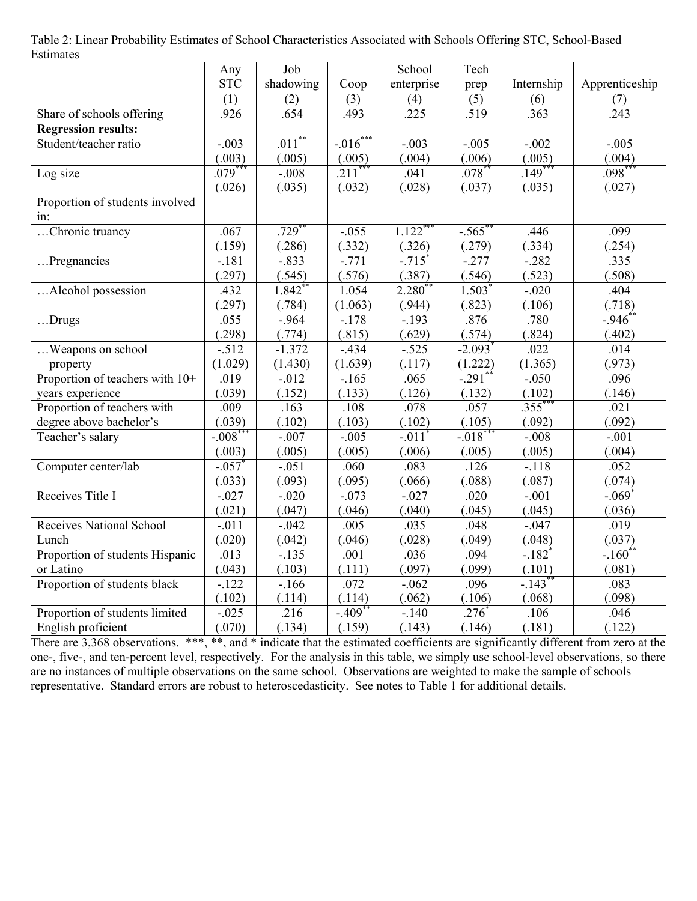| Table 2: Linear Probability Estimates of School Characteristics Associated with Schools Offering STC, School-Based |
|--------------------------------------------------------------------------------------------------------------------|
| Estimates                                                                                                          |

|                                 | Any                  | Job                  |           | School               | Tech                  |                      |                |
|---------------------------------|----------------------|----------------------|-----------|----------------------|-----------------------|----------------------|----------------|
|                                 | <b>STC</b>           | shadowing            | Coop      | enterprise           | prep                  | Internship           | Apprenticeship |
|                                 | (1)                  | (2)                  | (3)       | (4)                  | (5)                   | (6)                  | (7)            |
| Share of schools offering       | .926                 | .654                 | .493      | .225                 | .519                  | .363                 | .243           |
| <b>Regression results:</b>      |                      |                      |           |                      |                       |                      |                |
| Student/teacher ratio           | $-.003$              | $.011*$              | $-.016$   | $-.003$              | $-.005$               | $-.002$              | $-.005$        |
|                                 | (.003)               | (.005)               | (.005)    | (.004)               | (.006)                | (.005)               | (.004)         |
| Log size                        | $.079***$            | $-.008$              | $.211$ ** | .041                 | $.078*$               | $.149***$            | $.098***$      |
|                                 | (.026)               | (.035)               | (.032)    | (.028)               | (.037)                | (.035)               | (.027)         |
| Proportion of students involved |                      |                      |           |                      |                       |                      |                |
| in:                             |                      |                      |           |                      |                       |                      |                |
| Chronic truancy                 | .067                 | $.729$ **            | $-.055$   | $1.122***$           | $-.565$ **            | .446                 | .099           |
|                                 | (.159)               | (.286)               | (.332)    | (.326)               | (.279)                | (.334)               | (.254)         |
| Pregnancies                     | $-181$               | $-.833$              | $-0.771$  | $-.715$ <sup>*</sup> | $-277$                | $-282$               | .335           |
|                                 | (.297)               | (.545)               | (.576)    | (.387)               | (.546)                | (.523)               | (.508)         |
| Alcohol possession              | .432                 | $1.842$ <sup>*</sup> | 1.054     | 2.280 <sup>*</sup>   | $1.503$ <sup>*</sup>  | $-.020$              | .404           |
|                                 | (.297)               | (.784)               | (1.063)   | (.944)               | (.823)                | (.106)               | (.718)         |
| Drugs                           | .055                 | $-.964$              | $-.178$   | $-.193$              | .876                  | .780                 | $-.946$        |
|                                 | (.298)               | (.774)               | (.815)    | (.629)               | (.574)                | (.824)               | (.402)         |
| Weapons on school               | $-0.512$             | $-1.372$             | $-.434$   | $-.525$              | $-2.093$ <sup>*</sup> | .022                 | .014           |
| property                        | (1.029)              | (1.430)              | (1.639)   | (.117)               | (1.222)               | (1.365)              | (.973)         |
| Proportion of teachers with 10+ | .019                 | $-.012$              | $-.165$   | .065                 | $-.291$ <sup>*</sup>  | $-.050$              | .096           |
| years experience                | (.039)               | (.152)               | (.133)    | (.126)               | (.132)                | (.102)               | (.146)         |
| Proportion of teachers with     | .009                 | .163                 | .108      | .078                 | .057                  | $.355***$            | .021           |
| degree above bachelor's         | (.039)               | (.102)               | (.103)    | (.102)               | (.105)                | (.092)               | (.092)         |
| Teacher's salary                | $-.008$ <sup>*</sup> | $-.007$              | $-.005$   | $-.011$ <sup>*</sup> | $-.018$ <sup>*</sup>  | $-.008$              | $-.001$        |
|                                 | (.003)               | (.005)               | (.005)    | (.006)               | (.005)                | (.005)               | (.004)         |
| Computer center/lab             | $-.057$ <sup>*</sup> | $-.051$              | .060      | .083                 | .126                  | $-.118$              | .052           |
|                                 | (.033)               | (.093)               | (.095)    | (.066)               | (.088)                | (.087)               | (.074)         |
| Receives Title I                | $-.027$              | $-.020$              | $-.073$   | $-.027$              | .020                  | $-.001$              | $-.069*$       |
|                                 | (.021)               | (.047)               | (.046)    | (.040)               | (.045)                | (.045)               | (.036)         |
| <b>Receives National School</b> | $-.011$              | $-.042$              | .005      | .035                 | .048                  | $-.047$              | .019           |
| Lunch                           | (.020)               | (.042)               | (.046)    | (.028)               | (.049)                | (.048)               | (.037)         |
| Proportion of students Hispanic | .013                 | $-.135$              | .001      | .036                 | .094                  | $-.182$ <sup>*</sup> | $-.160^*$      |
| or Latino                       | (.043)               | (.103)               | (.111)    | (.097)               | (.099)                | (.101)               | (.081)         |
| Proportion of students black    | $-122$               | $-166$               | .072      | $-.062$              | .096                  | $-.143$ <sup>*</sup> | .083           |
|                                 | (.102)               | (.114)               | (.114)    | (.062)               | (.106)                | (.068)               | (.098)         |
| Proportion of students limited  | $-.025$              | .216                 | $-.409*$  | $-140$               | $.276*$               | .106                 | .046           |
| English proficient              | (.070)               | (.134)               | (.159)    | (.143)               | (.146)                | (.181)               | (.122)         |

There are 3,368 observations. \*\*\*, \*\*, and \* indicate that the estimated coefficients are significantly different from zero at the one-, five-, and ten-percent level, respectively. For the analysis in this table, we simply use school-level observations, so there are no instances of multiple observations on the same school. Observations are weighted to make the sample of schools representative. Standard errors are robust to heteroscedasticity. See notes to Table 1 for additional details.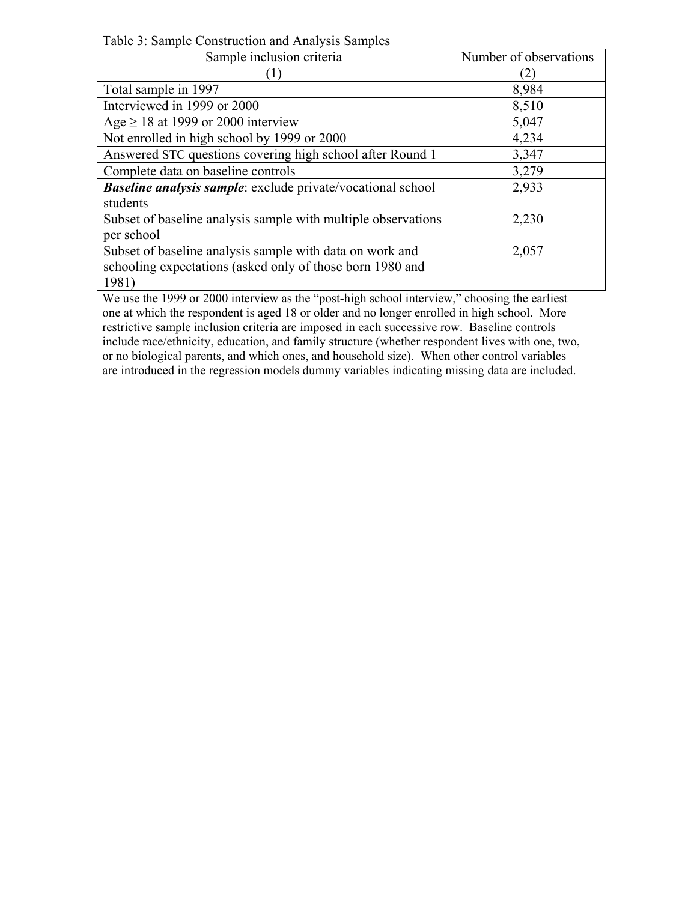Table 3: Sample Construction and Analysis Samples

| Sample inclusion criteria                                     | Number of observations |
|---------------------------------------------------------------|------------------------|
|                                                               |                        |
| Total sample in 1997                                          | 8,984                  |
| Interviewed in 1999 or 2000                                   | 8,510                  |
| Age $\geq$ 18 at 1999 or 2000 interview                       | 5,047                  |
| Not enrolled in high school by 1999 or 2000                   | 4,234                  |
| Answered STC questions covering high school after Round 1     | 3,347                  |
| Complete data on baseline controls                            | 3,279                  |
| Baseline analysis sample: exclude private/vocational school   | 2,933                  |
| students                                                      |                        |
| Subset of baseline analysis sample with multiple observations | 2,230                  |
| per school                                                    |                        |
| Subset of baseline analysis sample with data on work and      | 2,057                  |
| schooling expectations (asked only of those born 1980 and     |                        |
| 1981)                                                         |                        |

We use the 1999 or 2000 interview as the "post-high school interview," choosing the earliest one at which the respondent is aged 18 or older and no longer enrolled in high school. More restrictive sample inclusion criteria are imposed in each successive row. Baseline controls include race/ethnicity, education, and family structure (whether respondent lives with one, two, or no biological parents, and which ones, and household size). When other control variables are introduced in the regression models dummy variables indicating missing data are included.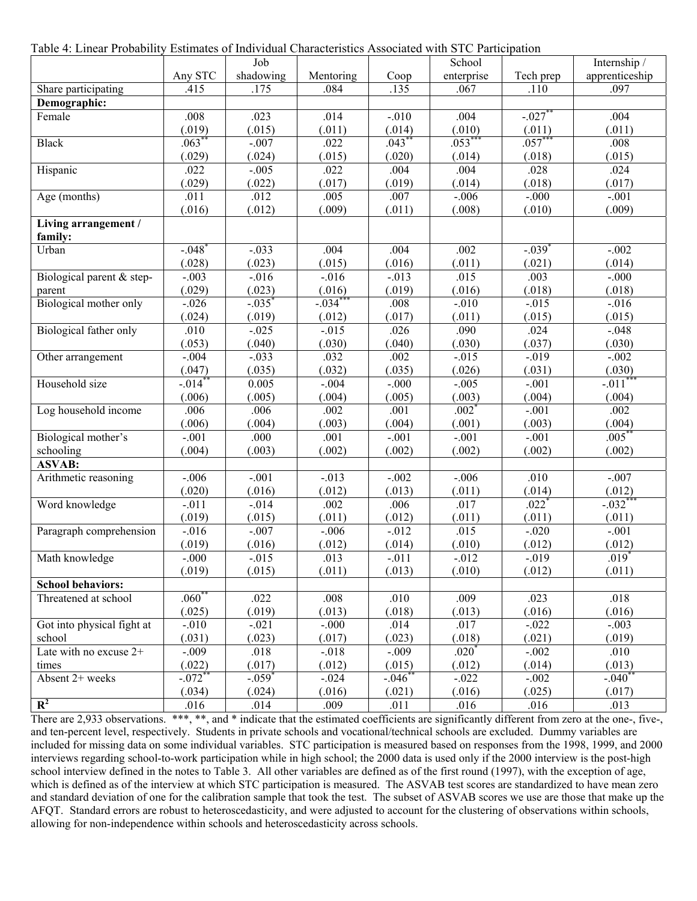Table 4: Linear Probability Estimates of Individual Characteristics Associated with STC Participation

|                                 |                      | Job                  |           |            | School     |                     | Internship /   |
|---------------------------------|----------------------|----------------------|-----------|------------|------------|---------------------|----------------|
|                                 | Any STC              | shadowing            | Mentoring | Coop       | enterprise | Tech prep           | apprenticeship |
| Share participating             | .415                 | .175                 | .084      | .135       | .067       | .110                | .097           |
| Demographic:                    |                      |                      |           |            |            |                     |                |
| Female                          | .008                 | .023                 | .014      | $-.010$    | .004       | $-.027$ **          | .004           |
|                                 | (.019)               | (.015)               | (.011)    | (.014)     | (.010)     | (.011)              | (.011)         |
| <b>Black</b>                    | $.063*$              | $-.007$              | .022      | .043       | $.053***$  | $.057***$           | .008           |
|                                 | (.029)               | (.024)               | (.015)    | (.020)     | (.014)     | (.018)              | (.015)         |
| Hispanic                        | .022                 | $-.005$              | .022      | .004       | .004       | .028                | .024           |
|                                 | (.029)               | (.022)               | (.017)    | (.019)     | (.014)     | (.018)              | (.017)         |
| Age (months)                    | .011                 | .012                 | .005      | .007       | $-.006$    | $-.000$             | $-.001$        |
|                                 | (.016)               | (.012)               | (.009)    | (.011)     | (.008)     | (.010)              | (.009)         |
| Living arrangement /<br>family: |                      |                      |           |            |            |                     |                |
| Urban                           | $-.048$ <sup>*</sup> | $-.033$              | .004      | .004       | .002       | $-0.039$            | $-.002$        |
|                                 | (.028)               | (.023)               | (.015)    | (.016)     | (.011)     | (.021)              | (.014)         |
| Biological parent & step-       | $-.003$              | $-.016$              | $-0.016$  | $-.013$    | .015       | .003                | $-.000$        |
| parent                          | (.029)               | (.023)               | (.016)    | (.019)     | (.016)     | (.018)              | (.018)         |
| Biological mother only          | $-.026$              | $-.035$ <sup>*</sup> | $-0.34$   | .008       | $-.010$    | $-0.015$            | $-.016$        |
|                                 | (.024)               | (.019)               | (.012)    | (.017)     | (.011)     | (.015)              | (.015)         |
| Biological father only          | .010                 | $-0.025$             | $-0.015$  | .026       | .090       | .024                | $-.048$        |
|                                 | (.053)               | (.040)               | (.030)    | (.040)     | (.030)     | (.037)              | (.030)         |
| Other arrangement               | $-.004$              | $-.033$              | .032      | .002       | $-.015$    | $-.019$             | $-.002$        |
|                                 | (.047)               | (.035)               | (.032)    | (.035)     | (.026)     | (.031)              | (.030)         |
| Household size                  | $-0.014$             | 0.005                | $-.004$   | $-.000$    | $-.005$    | $-.001$             | $-0.011$       |
|                                 | (.006)               | (.005)               | (.004)    | (.005)     | (.003)     | (.004)              | (.004)         |
| Log household income            | .006                 | .006                 | .002      | .001       | $.002*$    | $-.001$             | .002           |
|                                 | (.006)               | (.004)               | (.003)    | (.004)     | (.001)     | (.003)              | (.004)         |
| Biological mother's             | $-.001$              | .000                 | .001      | $-.001$    | $-.001$    | $-.001$             | $.005*$        |
| schooling                       | (.004)               | (.003)               | (.002)    | (.002)     | (.002)     | (.002)              | (.002)         |
| <b>ASVAB:</b>                   |                      |                      |           |            |            |                     |                |
| Arithmetic reasoning            | $-.006$              | $-0.01$              | $-.013$   | $-.002$    | $-.006$    | .010                | $-.007$        |
|                                 | (.020)               | (.016)               | (.012)    | (.013)     | (.011)     | (.014)              | (.012)         |
| Word knowledge                  | $-.011$              | $-.014$              | .002      | .006       | .017       | $.022$ <sup>*</sup> | $-0.032$ **    |
|                                 | (.019)               | (.015)               | (.011)    | (.012)     | (.011)     | (.011)              | (.011)         |
| Paragraph comprehension         | $-.016$              | $-.007$              | $-.006$   | $-.012$    | .015       | $-.020$             | $-0.01$        |
|                                 | (.019)               | (.016)               | (.012)    | (.014)     | (.010)     | (.012)              | (.012)         |
| Math knowledge                  | $-.000$              | $-.015$              | .013      | $-.011$    | $-.012$    | $-.019$             | $.019*$        |
|                                 | (.019)               | (.015)               | (.011)    | (.013)     | (.010)     | (.012)              | (.011)         |
| <b>School behaviors:</b>        |                      |                      |           |            |            |                     |                |
| Threatened at school            | $.060^{**}$          | .022                 | .008      | .010       | .009       | .023                | .018           |
|                                 | (.025)               | (.019)               | (.013)    | (.018)     | (.013)     | (.016)              | (.016)         |
| Got into physical fight at      | $-.010$              | $-.021$              | $-0.000$  | .014       | .017       | $-.022$             | $-.003$        |
| school                          | (.031)               | (.023)               | (.017)    | (.023)     | (.018)     | (.021)              | (.019)         |
| Late with no excuse 2+          | $-.009$              | .018                 | $-.018$   | $-.009$    | $.020*$    | $-.002$             | .010           |
| times                           | (.022)               | (.017)               | (.012)    | (.015)     | (.012)     | (.014)              | (.013)         |
| Absent 2+ weeks                 | $-.072$ **           | $-.059*$             | $-.024$   | $-.046$ ** | $-.022$    | $-.002$             | $-.040$        |
|                                 | (.034)               | (.024)               | (.016)    | (.021)     | (.016)     | (.025)              | (.017)         |
| $R^2$                           | .016                 | .014                 | .009      | .011       | .016       | .016                | .013           |

There are 2,933 observations. \*\*\*, \*\*, and \* indicate that the estimated coefficients are significantly different from zero at the one-, five-, and ten-percent level, respectively. Students in private schools and vocational/technical schools are excluded. Dummy variables are included for missing data on some individual variables. STC participation is measured based on responses from the 1998, 1999, and 2000 interviews regarding school-to-work participation while in high school; the 2000 data is used only if the 2000 interview is the post-high school interview defined in the notes to Table 3. All other variables are defined as of the first round (1997), with the exception of age, which is defined as of the interview at which STC participation is measured. The ASVAB test scores are standardized to have mean zero and standard deviation of one for the calibration sample that took the test. The subset of ASVAB scores we use are those that make up the AFQT. Standard errors are robust to heteroscedasticity, and were adjusted to account for the clustering of observations within schools, allowing for non-independence within schools and heteroscedasticity across schools.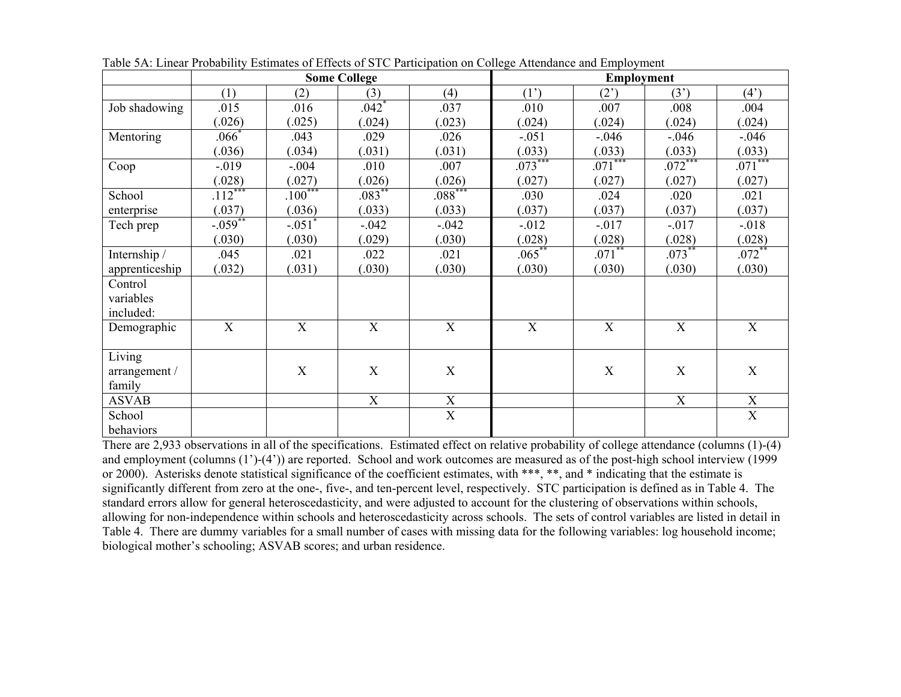|                |             |                      | <b>Some College</b> |             | <b>Employment</b> |             |           |                |  |
|----------------|-------------|----------------------|---------------------|-------------|-------------------|-------------|-----------|----------------|--|
|                | (1)         | (2)                  | (3)                 | (4)         | (1')              | (2)         | (3')      | $(4^{\prime})$ |  |
| Job shadowing  | .015        | .016                 | $.042*$             | .037        | .010              | .007        | .008      | .004           |  |
|                | (.026)      | (.025)               | (.024)              | (.023)      | (.024)            | (.024)      | (.024)    | (.024)         |  |
| Mentoring      | $.066^*$    | .043                 | .029                | .026        | $-.051$           | $-.046$     | $-0.046$  | $-0.046$       |  |
|                | (.036)      | (.034)               | (.031)              | (.031)      | (.033)            | (.033)      | (.033)    | (.033)         |  |
| Coop           | $-.019$     | $-.004$              | .010                | .007        | $.073***$         | $.071***$   | $.072***$ | $.071***$      |  |
|                | (.028)      | (.027)               | (.026)              | (.026)      | (.027)            | (.027)      | (.027)    | (.027)         |  |
| School         | $.112***$   | $.100***$            | $.083***$           | $.088***$   | .030              | .024        | .020      | .021           |  |
| enterprise     | (.037)      | (.036)               | (.033)              | (.033)      | (037)             | (.037)      | (.037)    | (.037)         |  |
| Tech prep      | $-0.059**$  | $-.051$ <sup>*</sup> | $-.042$             | $-.042$     | $-0.012$          | $-0.017$    | $-0.017$  | $-0.018$       |  |
|                | (.030)      | (.030)               | (.029)              | (.030)      | (.028)            | (.028)      | (.028)    | (.028)         |  |
| Internship /   | .045        | .021                 | .022                | .021        | $.065***$         | $.071***$   | $.073***$ | $.072***$      |  |
| apprenticeship | (.032)      | (.031)               | (.030)              | (.030)      | (.030)            | (.030)      | (.030)    | (.030)         |  |
| Control        |             |                      |                     |             |                   |             |           |                |  |
| variables      |             |                      |                     |             |                   |             |           |                |  |
| included:      |             |                      |                     |             |                   |             |           |                |  |
| Demographic    | $\mathbf X$ | $\mathbf X$          | X                   | $\mathbf X$ | $\mathbf X$       | X           | X         | X              |  |
|                |             |                      |                     |             |                   |             |           |                |  |
| Living         |             |                      |                     |             |                   |             |           |                |  |
| arrangement /  |             | $\mathbf X$          | $\mathbf X$         | $\mathbf X$ |                   | $\mathbf X$ | X         | X              |  |
| family         |             |                      |                     |             |                   |             |           |                |  |
| <b>ASVAB</b>   |             |                      | X                   | X           |                   |             | X         | X              |  |
| School         |             |                      |                     | X           |                   |             |           | $\mathbf X$    |  |
| behaviors      |             |                      |                     |             |                   |             |           |                |  |

Table 5A: Linear Probability Estimates of Effects of STC Participation on College Attendance and Employment

There are 2,933 observations in all of the specifications. Estimated effect on relative probability of college attendance (columns (1)-(4) and employment (columns (1')-(4')) are reported. School and work outcomes are measured as of the post-high school interview (1999 or 2000). Asterisks denote statistical significance of the coefficient estimates, with \*\*\*, \*\*, and \* indicating that the estimate is significantly different from zero at the one-, five-, and ten-percent level, respectively. STC participation is defined as in Table 4. The standard errors allow for general heteroscedasticity, and were adjusted to account for the clustering of observations within schools, allowing for non-independence within schools and heteroscedasticity across schools. The sets of control variables are listed in detail in Table 4. There are dummy variables for a small number of cases with missing data for the following variables: log household income; biological mother's schooling; ASVAB scores; and urban residence.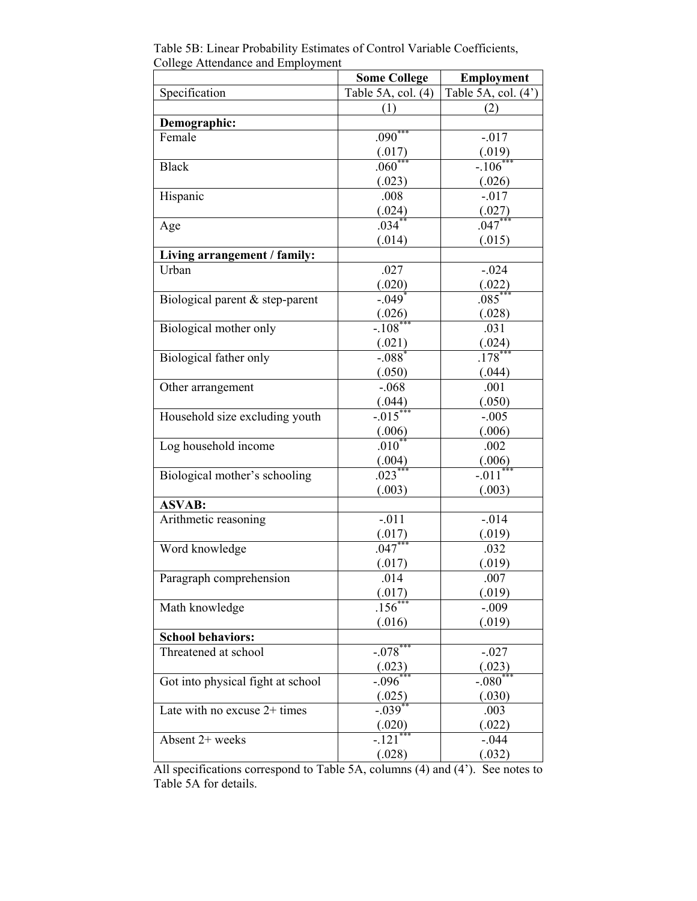|                                   | <b>Some College</b>    | Employment             |
|-----------------------------------|------------------------|------------------------|
| Specification                     | Table 5A, col. (4)     | Table 5A, col. (4')    |
|                                   | (1)                    | (2)                    |
| Demographic:                      |                        |                        |
| Female                            | $.090***$              | $-.017$                |
|                                   | (.017)                 | (.019)                 |
| <b>Black</b>                      | $.060^*$               | $-.106*$               |
|                                   | (.023)                 | (.026)                 |
| Hispanic                          | .008                   | $-.017$                |
|                                   | $\frac{(.024)}{.034}$  | (.027)                 |
| Age                               |                        | $.047***$              |
|                                   | (.014)                 | (.015)                 |
| Living arrangement / family:      |                        |                        |
| Urban                             | .027                   | $-.024$                |
|                                   | (.020)                 | (.022)                 |
| Biological parent & step-parent   | $-.049$ <sup>*</sup>   | $.085***$              |
|                                   | $\frac{(.026)}{-.108}$ | (.028)                 |
| Biological mother only            |                        | .031                   |
|                                   | (.021)                 | (.024)                 |
| Biological father only            | $-.088$ <sup>*</sup>   | $.178$ <sup>**</sup>   |
|                                   | (.050)                 | (.044)                 |
| Other arrangement                 | $-.068$                | .001                   |
|                                   | $\frac{(.044)}{-.015}$ | (.050)                 |
| Household size excluding youth    |                        | $-.005$                |
|                                   | (.006)                 | (.006)                 |
| Log household income              | $.010**$               | .002                   |
|                                   | $\frac{(.004)}{.023}$  | (.006)                 |
| Biological mother's schooling     |                        | $-.011$ <sup>***</sup> |
|                                   | (.003)                 | (.003)                 |
| <b>ASVAB:</b>                     |                        |                        |
| Arithmetic reasoning              | $-.011$                | $-.014$                |
|                                   | (.017)                 | (.019)                 |
| Word knowledge                    | $.047***$              | .032                   |
|                                   | (.017)                 | (.019)                 |
| Paragraph comprehension           | .014                   | .007                   |
|                                   | (.017)                 | (.019)                 |
| Math knowledge                    | .156                   | $-.009$                |
|                                   | (.016)                 | (.019)                 |
| <b>School behaviors:</b>          |                        |                        |
| Threatened at school              | $-.078***$             | $-.027$                |
|                                   | (.023)<br>$-0.096$     | (.023)                 |
| Got into physical fight at school |                        | $-080$                 |
|                                   | (.025)<br>$-0.039$     | (.030)                 |
| Late with no excuse 2+ times      |                        | .003                   |
|                                   | (.020)<br>$-.121$ **   | (.022)                 |
| Absent 2+ weeks                   |                        | $-.044$                |
|                                   | (.028)                 | (.032)                 |

Table 5B: Linear Probability Estimates of Control Variable Coefficients, College Attendance and Employment

All specifications correspond to Table 5A, columns (4) and (4'). See notes to Table 5A for details.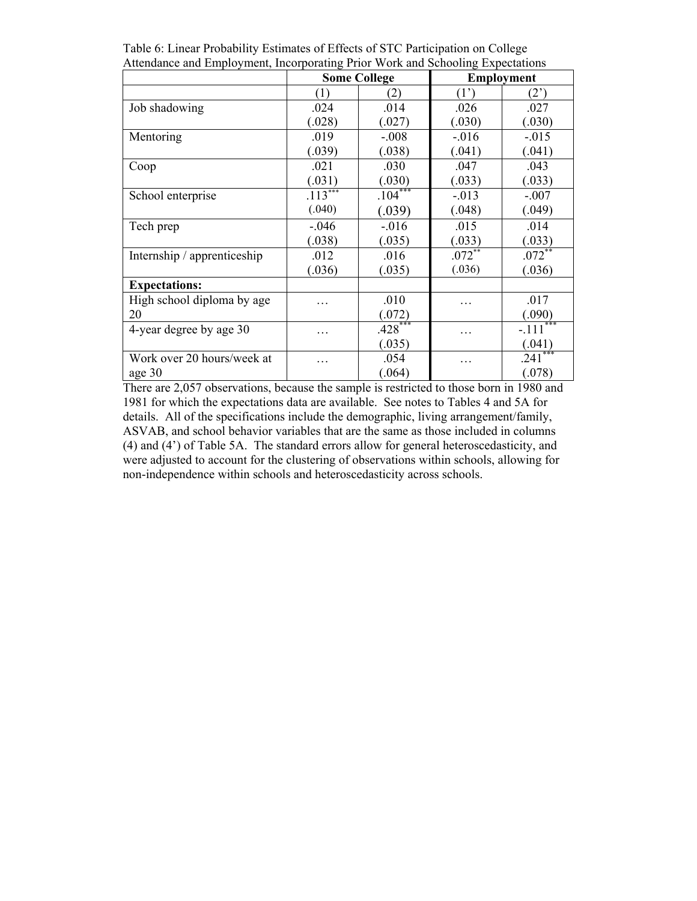|                             | <b>Some College</b> |           |             | <b>Employment</b> |
|-----------------------------|---------------------|-----------|-------------|-------------------|
|                             | (1)                 | (2)       | (1')        | (2)               |
| Job shadowing               | .024                | .014      | .026        | .027              |
|                             | (.028)              | (.027)    | (.030)      | (.030)            |
| Mentoring                   | .019                | $-.008$   | $-.016$     | $-.015$           |
|                             | (.039)              | (.038)    | (.041)      | (.041)            |
| Coop                        | .021                | .030      | .047        | .043              |
|                             | (.031)              | (.030)    | (.033)      | (.033)            |
| School enterprise           | $.113***$           | $.104***$ | $-.013$     | $-.007$           |
|                             | (.040)              | (.039)    | (.048)      | (.049)            |
| Tech prep                   | $-.046$             | $-.016$   | .015        | .014              |
|                             | (.038)              | (.035)    | (.033)      | (.033)            |
| Internship / apprenticeship | .012                | .016      | $.072^{**}$ | $.072**$          |
|                             | (.036)              | (.035)    | (.036)      | (.036)            |
| <b>Expectations:</b>        |                     |           |             |                   |
| High school diploma by age  | .                   | .010      | .           | .017              |
| 20                          |                     | (.072)    |             | (.090)            |
| 4-year degree by age 30     | .                   | $.428***$ | .           | $-.111***$        |
|                             |                     | (.035)    |             | (.041)            |
| Work over 20 hours/week at  | .                   | .054      | .           | ***<br>.241       |
| age 30                      |                     | (.064)    |             | (.078)            |

Table 6: Linear Probability Estimates of Effects of STC Participation on College Attendance and Employment, Incorporating Prior Work and Schooling Expectations

There are 2,057 observations, because the sample is restricted to those born in 1980 and 1981 for which the expectations data are available. See notes to Tables 4 and 5A for details. All of the specifications include the demographic, living arrangement/family, ASVAB, and school behavior variables that are the same as those included in columns (4) and (4') of Table 5A. The standard errors allow for general heteroscedasticity, and were adjusted to account for the clustering of observations within schools, allowing for non-independence within schools and heteroscedasticity across schools.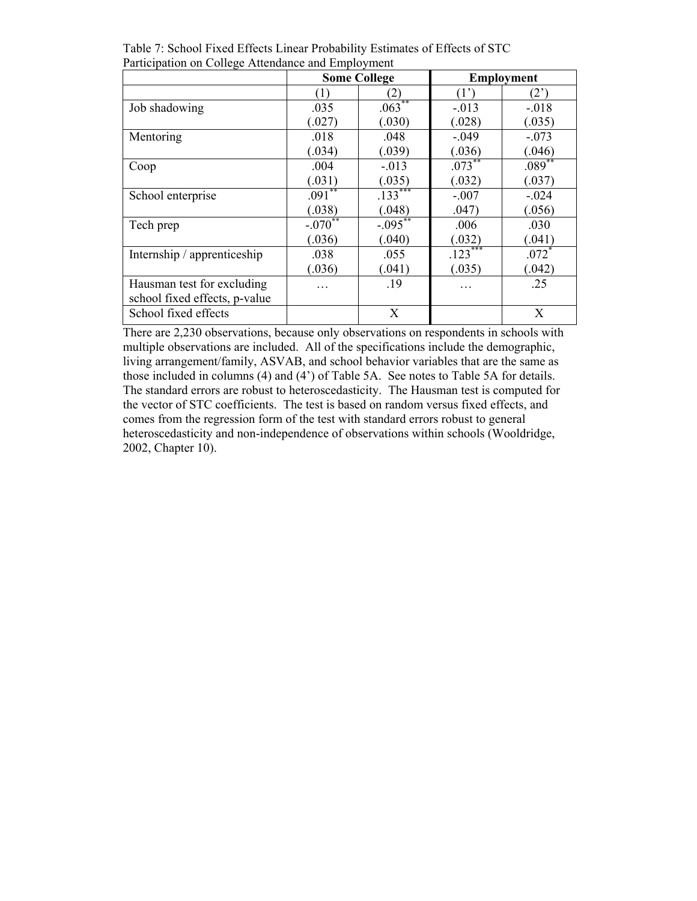|                               |              | <b>Some College</b> |           | <b>Employment</b> |
|-------------------------------|--------------|---------------------|-----------|-------------------|
|                               | (1)          | (2)                 | (1)       | (2)               |
| Job shadowing                 | .035         | $.063**$            | $-.013$   | $-.018$           |
|                               | (.027)       | (.030)              | (.028)    | (.035)            |
| Mentoring                     | .018         | .048                | $-.049$   | $-.073$           |
|                               | (.034)       | (.039)              | (.036)    | (.046)            |
| Coop                          | .004         | $-.013$             | $.073***$ | $.089**$          |
|                               | (.031)       | (.035)              | (.032)    | (.037)            |
| School enterprise             | $.091**$     | $.133***$           | $-.007$   | $-.024$           |
|                               | (.038)       | (.048)              | .047)     | (.056)            |
| Tech prep                     | $-.070^{**}$ | $-.095***$          | .006      | .030              |
|                               | (.036)       | (.040)              | (.032)    | (.041)            |
| Internship / apprenticeship   | .038         | .055                | $.123***$ | $.072*$           |
|                               | (.036)       | (.041)              | (.035)    | (.042)            |
| Hausman test for excluding    | .            | .19                 | .         | .25               |
| school fixed effects, p-value |              |                     |           |                   |
| School fixed effects          |              | X                   |           | X                 |

Table 7: School Fixed Effects Linear Probability Estimates of Effects of STC Participation on College Attendance and Employment

There are 2,230 observations, because only observations on respondents in schools with multiple observations are included. All of the specifications include the demographic, living arrangement/family, ASVAB, and school behavior variables that are the same as those included in columns (4) and (4') of Table 5A. See notes to Table 5A for details. The standard errors are robust to heteroscedasticity. The Hausman test is computed for the vector of STC coefficients. The test is based on random versus fixed effects, and comes from the regression form of the test with standard errors robust to general heteroscedasticity and non-independence of observations within schools (Wooldridge, 2002, Chapter 10).